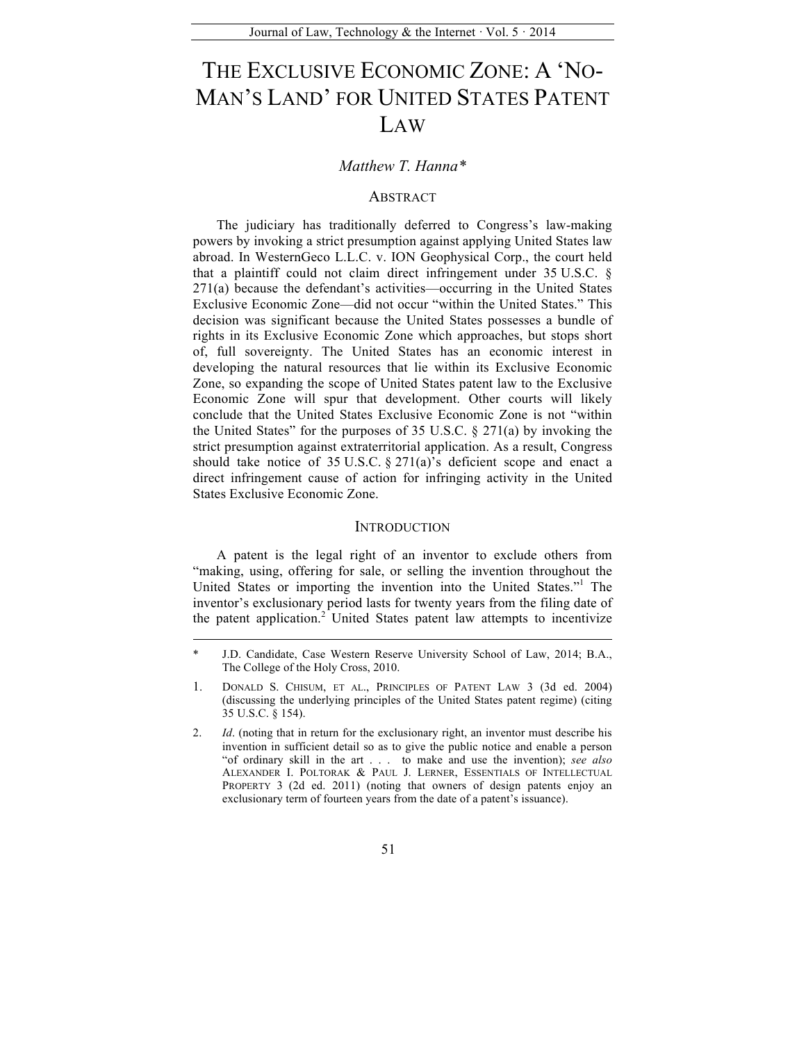# THE EXCLUSIVE ECONOMIC ZONE: A 'NO-MAN'S LAND' FOR UNITED STATES PATENT LAW

# *Matthew T. Hanna\**

## **ABSTRACT**

The judiciary has traditionally deferred to Congress's law-making powers by invoking a strict presumption against applying United States law abroad. In WesternGeco L.L.C. v. ION Geophysical Corp., the court held that a plaintiff could not claim direct infringement under 35 U.S.C. § 271(a) because the defendant's activities—occurring in the United States Exclusive Economic Zone—did not occur "within the United States." This decision was significant because the United States possesses a bundle of rights in its Exclusive Economic Zone which approaches, but stops short of, full sovereignty. The United States has an economic interest in developing the natural resources that lie within its Exclusive Economic Zone, so expanding the scope of United States patent law to the Exclusive Economic Zone will spur that development. Other courts will likely conclude that the United States Exclusive Economic Zone is not "within the United States" for the purposes of 35 U.S.C.  $\S 271(a)$  by invoking the strict presumption against extraterritorial application. As a result, Congress should take notice of  $35 \text{ U.S.C.}$   $\S 271(a)$ 's deficient scope and enact a direct infringement cause of action for infringing activity in the United States Exclusive Economic Zone.

## **INTRODUCTION**

A patent is the legal right of an inventor to exclude others from "making, using, offering for sale, or selling the invention throughout the United States or importing the invention into the United States."<sup>1</sup> The inventor's exclusionary period lasts for twenty years from the filing date of the patent application.<sup>2</sup> United States patent law attempts to incentivize

J.D. Candidate, Case Western Reserve University School of Law, 2014; B.A., The College of the Holy Cross, 2010.

<sup>1.</sup> DONALD S. CHISUM, ET AL., PRINCIPLES OF PATENT LAW 3 (3d ed. 2004) (discussing the underlying principles of the United States patent regime) (citing 35 U.S.C. § 154).

<sup>2.</sup> *Id*. (noting that in return for the exclusionary right, an inventor must describe his invention in sufficient detail so as to give the public notice and enable a person "of ordinary skill in the art . . . to make and use the invention); *see also*  ALEXANDER I. POLTORAK & PAUL J. LERNER, ESSENTIALS OF INTELLECTUAL PROPERTY 3 (2d ed. 2011) (noting that owners of design patents enjoy an exclusionary term of fourteen years from the date of a patent's issuance).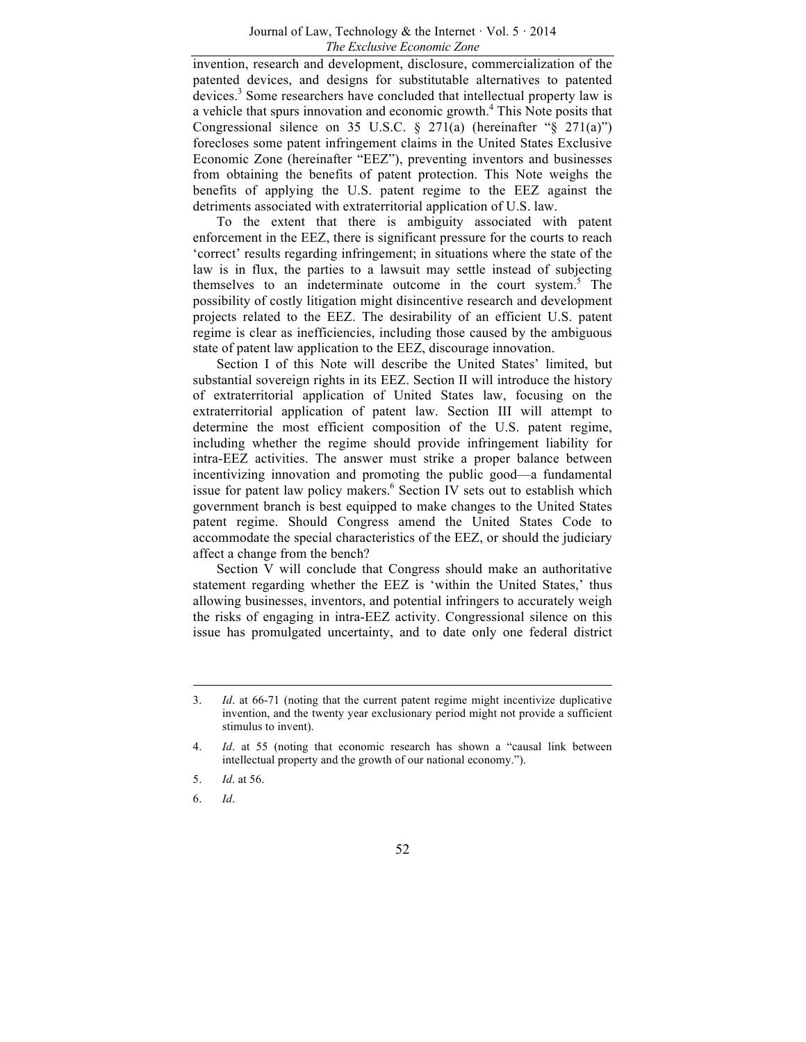invention, research and development, disclosure, commercialization of the patented devices, and designs for substitutable alternatives to patented devices.<sup>3</sup> Some researchers have concluded that intellectual property law is a vehicle that spurs innovation and economic growth.<sup>4</sup> This Note posits that Congressional silence on 35 U.S.C.  $\S$  271(a) (hereinafter " $\S$  271(a)") forecloses some patent infringement claims in the United States Exclusive Economic Zone (hereinafter "EEZ"), preventing inventors and businesses from obtaining the benefits of patent protection. This Note weighs the benefits of applying the U.S. patent regime to the EEZ against the detriments associated with extraterritorial application of U.S. law.

To the extent that there is ambiguity associated with patent enforcement in the EEZ, there is significant pressure for the courts to reach 'correct' results regarding infringement; in situations where the state of the law is in flux, the parties to a lawsuit may settle instead of subjecting themselves to an indeterminate outcome in the court system.<sup>5</sup> The possibility of costly litigation might disincentive research and development projects related to the EEZ. The desirability of an efficient U.S. patent regime is clear as inefficiencies, including those caused by the ambiguous state of patent law application to the EEZ, discourage innovation.

Section I of this Note will describe the United States' limited, but substantial sovereign rights in its EEZ. Section II will introduce the history of extraterritorial application of United States law, focusing on the extraterritorial application of patent law. Section III will attempt to determine the most efficient composition of the U.S. patent regime, including whether the regime should provide infringement liability for intra-EEZ activities. The answer must strike a proper balance between incentivizing innovation and promoting the public good—a fundamental issue for patent law policy makers.<sup>6</sup> Section IV sets out to establish which government branch is best equipped to make changes to the United States patent regime. Should Congress amend the United States Code to accommodate the special characteristics of the EEZ, or should the judiciary affect a change from the bench?

Section V will conclude that Congress should make an authoritative statement regarding whether the EEZ is 'within the United States,' thus allowing businesses, inventors, and potential infringers to accurately weigh the risks of engaging in intra-EEZ activity. Congressional silence on this issue has promulgated uncertainty, and to date only one federal district

6. *Id*.

<sup>3.</sup> *Id*. at 66-71 (noting that the current patent regime might incentivize duplicative invention, and the twenty year exclusionary period might not provide a sufficient stimulus to invent).

<sup>4.</sup> *Id*. at 55 (noting that economic research has shown a "causal link between intellectual property and the growth of our national economy.").

<sup>5.</sup> *Id*. at 56.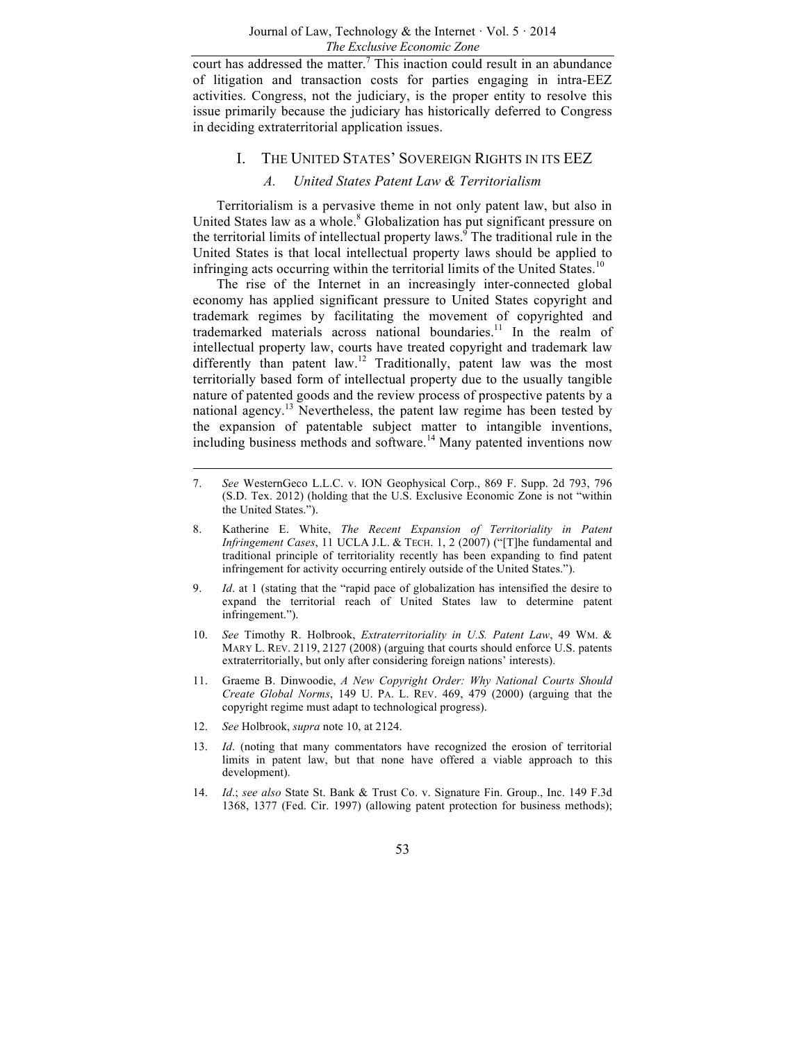court has addressed the matter.<sup>7</sup> This inaction could result in an abundance of litigation and transaction costs for parties engaging in intra-EEZ activities. Congress, not the judiciary, is the proper entity to resolve this issue primarily because the judiciary has historically deferred to Congress in deciding extraterritorial application issues.

## I. THE UNITED STATES' SOVEREIGN RIGHTS IN ITS EEZ

## *A. United States Patent Law & Territorialism*

Territorialism is a pervasive theme in not only patent law, but also in United States law as a whole. $8$  Globalization has put significant pressure on the territorial limits of intellectual property laws.<sup>9</sup> The traditional rule in the United States is that local intellectual property laws should be applied to infringing acts occurring within the territorial limits of the United States.<sup>10</sup>

The rise of the Internet in an increasingly inter-connected global economy has applied significant pressure to United States copyright and trademark regimes by facilitating the movement of copyrighted and trademarked materials across national boundaries.<sup>11</sup> In the realm of intellectual property law, courts have treated copyright and trademark law differently than patent law.<sup>12</sup> Traditionally, patent law was the most territorially based form of intellectual property due to the usually tangible nature of patented goods and the review process of prospective patents by a national agency.<sup>13</sup> Nevertheless, the patent law regime has been tested by the expansion of patentable subject matter to intangible inventions, including business methods and software.<sup>14</sup> Many patented inventions now

- 9. *Id*. at 1 (stating that the "rapid pace of globalization has intensified the desire to expand the territorial reach of United States law to determine patent infringement.").
- 10. *See* Timothy R. Holbrook, *Extraterritoriality in U.S. Patent Law*, 49 WM. & MARY L. REV. 2119, 2127 (2008) (arguing that courts should enforce U.S. patents extraterritorially, but only after considering foreign nations' interests).
- 11. Graeme B. Dinwoodie, *A New Copyright Order: Why National Courts Should Create Global Norms*, 149 U. PA. L. REV. 469, 479 (2000) (arguing that the copyright regime must adapt to technological progress).
- 12. *See* Holbrook, *supra* note 10, at 2124.
- 13. *Id*. (noting that many commentators have recognized the erosion of territorial limits in patent law, but that none have offered a viable approach to this development).
- 14. *Id*.; *see also* State St. Bank & Trust Co. v. Signature Fin. Group., Inc. 149 F.3d 1368, 1377 (Fed. Cir. 1997) (allowing patent protection for business methods);

<sup>7.</sup> *See* WesternGeco L.L.C. v. ION Geophysical Corp., 869 F. Supp. 2d 793, 796 (S.D. Tex. 2012) (holding that the U.S. Exclusive Economic Zone is not "within the United States.").

<sup>8.</sup> Katherine E. White, *The Recent Expansion of Territoriality in Patent Infringement Cases*, 11 UCLA J.L. & TECH. 1, 2 (2007) ("[T]he fundamental and traditional principle of territoriality recently has been expanding to find patent infringement for activity occurring entirely outside of the United States.").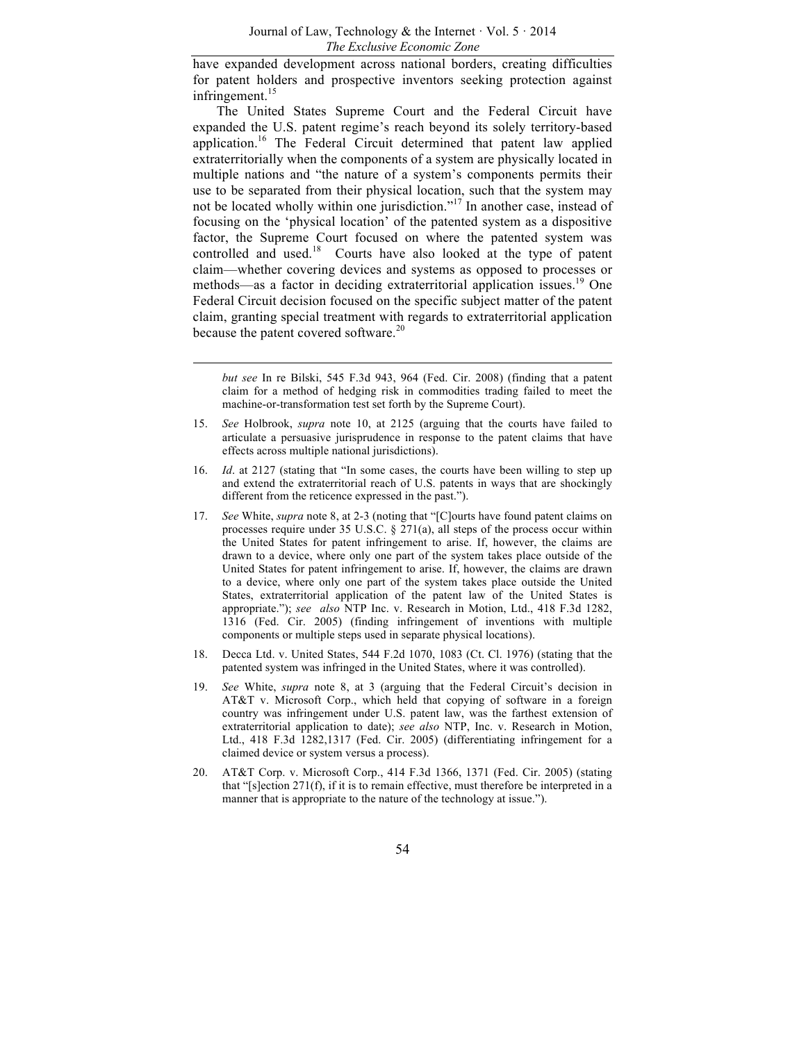have expanded development across national borders, creating difficulties for patent holders and prospective inventors seeking protection against infringement.<sup>15</sup>

The United States Supreme Court and the Federal Circuit have expanded the U.S. patent regime's reach beyond its solely territory-based application.<sup>16</sup> The Federal Circuit determined that patent law applied extraterritorially when the components of a system are physically located in multiple nations and "the nature of a system's components permits their use to be separated from their physical location, such that the system may not be located wholly within one jurisdiction."<sup>17</sup> In another case, instead of focusing on the 'physical location' of the patented system as a dispositive factor, the Supreme Court focused on where the patented system was controlled and used.<sup>18</sup> Courts have also looked at the type of patent claim—whether covering devices and systems as opposed to processes or methods—as a factor in deciding extraterritorial application issues.<sup>19</sup> One Federal Circuit decision focused on the specific subject matter of the patent claim, granting special treatment with regards to extraterritorial application because the patent covered software.<sup>20</sup>

- 16. *Id*. at 2127 (stating that "In some cases, the courts have been willing to step up and extend the extraterritorial reach of U.S. patents in ways that are shockingly different from the reticence expressed in the past.").
- 17. *See* White, *supra* note 8, at 2-3 (noting that "[C]ourts have found patent claims on processes require under 35 U.S.C. § 271(a), all steps of the process occur within the United States for patent infringement to arise. If, however, the claims are drawn to a device, where only one part of the system takes place outside of the United States for patent infringement to arise. If, however, the claims are drawn to a device, where only one part of the system takes place outside the United States, extraterritorial application of the patent law of the United States is appropriate."); *see also* NTP Inc. v. Research in Motion, Ltd., 418 F.3d 1282, 1316 (Fed. Cir. 2005) (finding infringement of inventions with multiple components or multiple steps used in separate physical locations).
- 18. Decca Ltd. v. United States, 544 F.2d 1070, 1083 (Ct. Cl. 1976) (stating that the patented system was infringed in the United States, where it was controlled).
- 19. *See* White, *supra* note 8, at 3 (arguing that the Federal Circuit's decision in AT&T v. Microsoft Corp., which held that copying of software in a foreign country was infringement under U.S. patent law, was the farthest extension of extraterritorial application to date); *see also* NTP, Inc. v. Research in Motion, Ltd., 418 F.3d 1282,1317 (Fed. Cir. 2005) (differentiating infringement for a claimed device or system versus a process).
- 20. AT&T Corp. v. Microsoft Corp., 414 F.3d 1366, 1371 (Fed. Cir. 2005) (stating that "[s]ection 271(f), if it is to remain effective, must therefore be interpreted in a manner that is appropriate to the nature of the technology at issue.").

*but see* In re Bilski, 545 F.3d 943, 964 (Fed. Cir. 2008) (finding that a patent claim for a method of hedging risk in commodities trading failed to meet the machine-or-transformation test set forth by the Supreme Court).

<sup>15.</sup> *See* Holbrook, *supra* note 10, at 2125 (arguing that the courts have failed to articulate a persuasive jurisprudence in response to the patent claims that have effects across multiple national jurisdictions).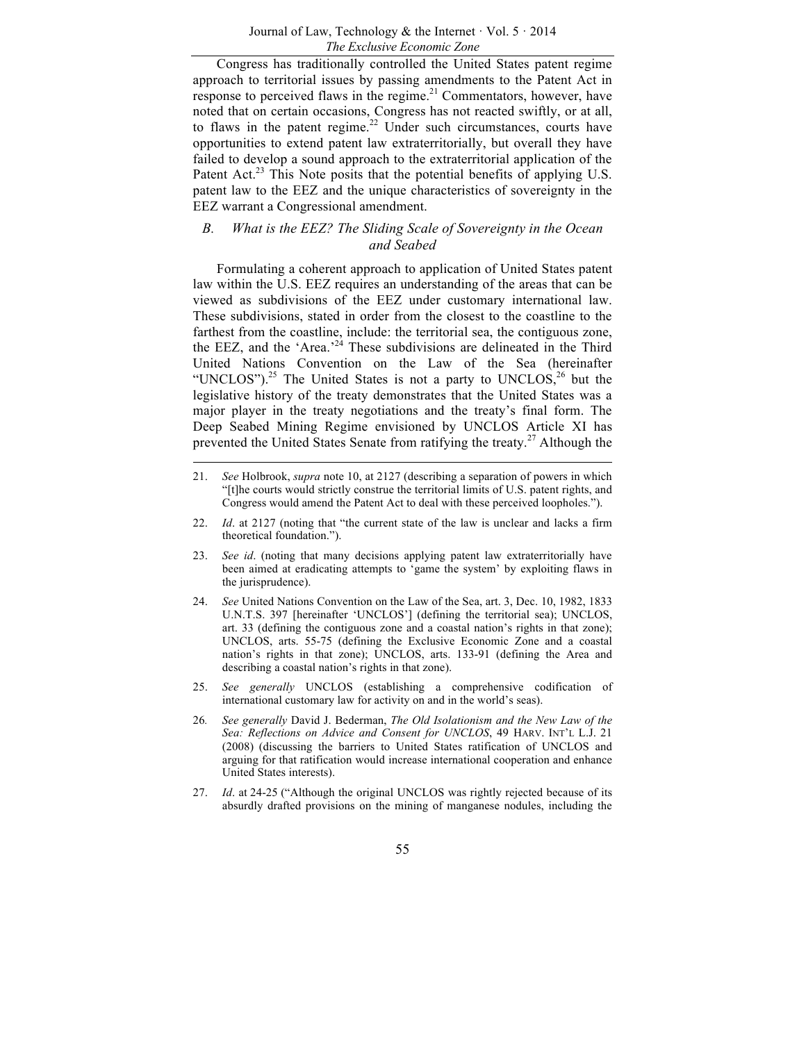Congress has traditionally controlled the United States patent regime approach to territorial issues by passing amendments to the Patent Act in response to perceived flaws in the regime.<sup>21</sup> Commentators, however, have noted that on certain occasions, Congress has not reacted swiftly, or at all, to flaws in the patent regime.<sup>22</sup> Under such circumstances, courts have opportunities to extend patent law extraterritorially, but overall they have failed to develop a sound approach to the extraterritorial application of the Patent Act.<sup>23</sup> This Note posits that the potential benefits of applying U.S. patent law to the EEZ and the unique characteristics of sovereignty in the EEZ warrant a Congressional amendment.

## *B. What is the EEZ? The Sliding Scale of Sovereignty in the Ocean and Seabed*

Formulating a coherent approach to application of United States patent law within the U.S. EEZ requires an understanding of the areas that can be viewed as subdivisions of the EEZ under customary international law. These subdivisions, stated in order from the closest to the coastline to the farthest from the coastline, include: the territorial sea, the contiguous zone, the EEZ, and the 'Area.<sup>24</sup> These subdivisions are delineated in the Third United Nations Convention on the Law of the Sea (hereinafter "UNCLOS").<sup>25</sup> The United States is not a party to UNCLOS,<sup>26</sup> but the legislative history of the treaty demonstrates that the United States was a major player in the treaty negotiations and the treaty's final form. The Deep Seabed Mining Regime envisioned by UNCLOS Article XI has prevented the United States Senate from ratifying the treaty.<sup>27</sup> Although the

- 24. *See* United Nations Convention on the Law of the Sea, art. 3, Dec. 10, 1982, 1833 U.N.T.S. 397 [hereinafter 'UNCLOS'] (defining the territorial sea); UNCLOS, art. 33 (defining the contiguous zone and a coastal nation's rights in that zone); UNCLOS, arts. 55-75 (defining the Exclusive Economic Zone and a coastal nation's rights in that zone); UNCLOS, arts. 133-91 (defining the Area and describing a coastal nation's rights in that zone).
- 25. *See generally* UNCLOS (establishing a comprehensive codification of international customary law for activity on and in the world's seas).
- 26*. See generally* David J. Bederman, *The Old Isolationism and the New Law of the Sea: Reflections on Advice and Consent for UNCLOS*, 49 HARV. INT'L L.J. 21 (2008) (discussing the barriers to United States ratification of UNCLOS and arguing for that ratification would increase international cooperation and enhance United States interests).
- 27. *Id*. at 24-25 ("Although the original UNCLOS was rightly rejected because of its absurdly drafted provisions on the mining of manganese nodules, including the

<sup>21.</sup> *See* Holbrook, *supra* note 10, at 2127 (describing a separation of powers in which "[t]he courts would strictly construe the territorial limits of U.S. patent rights, and Congress would amend the Patent Act to deal with these perceived loopholes.").

<sup>22.</sup> *Id*. at 2127 (noting that "the current state of the law is unclear and lacks a firm theoretical foundation.").

<sup>23.</sup> *See id*. (noting that many decisions applying patent law extraterritorially have been aimed at eradicating attempts to 'game the system' by exploiting flaws in the jurisprudence).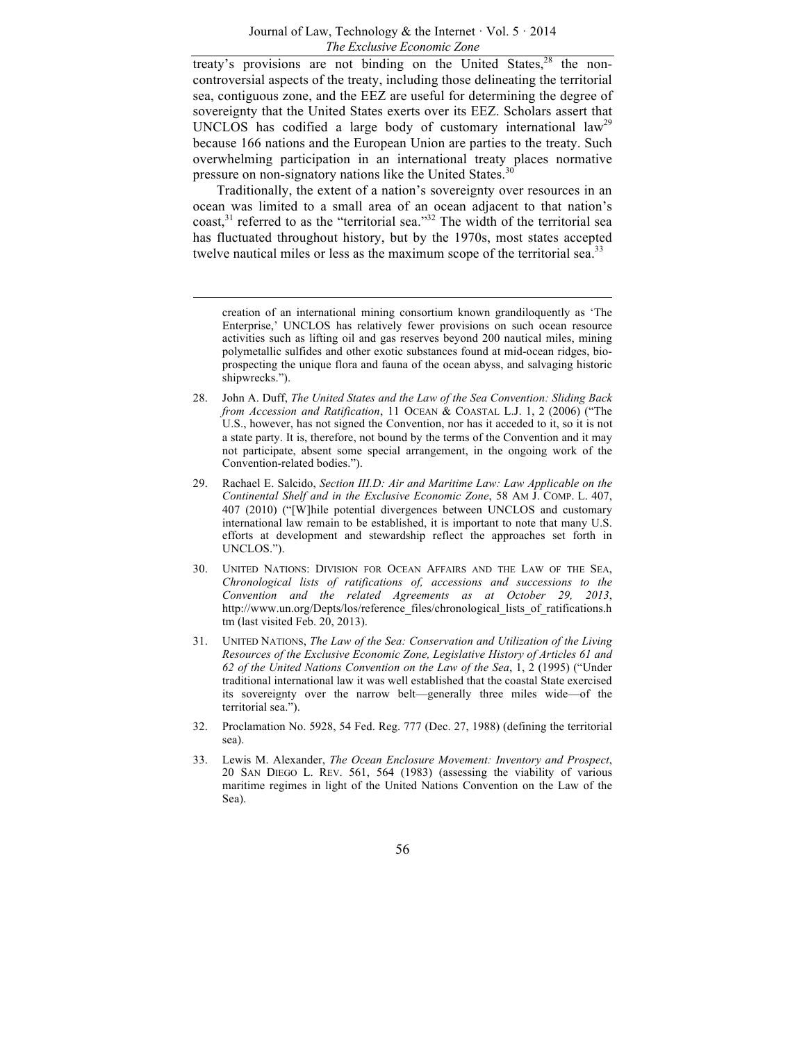treaty's provisions are not binding on the United States, $28$  the noncontroversial aspects of the treaty, including those delineating the territorial sea, contiguous zone, and the EEZ are useful for determining the degree of sovereignty that the United States exerts over its EEZ. Scholars assert that UNCLOS has codified a large body of customary international law<sup>29</sup> because 166 nations and the European Union are parties to the treaty. Such overwhelming participation in an international treaty places normative pressure on non-signatory nations like the United States.<sup>36</sup>

Traditionally, the extent of a nation's sovereignty over resources in an ocean was limited to a small area of an ocean adjacent to that nation's  $\text{const.}^{31}$  referred to as the "territorial sea."<sup>32</sup> The width of the territorial sea has fluctuated throughout history, but by the 1970s, most states accepted twelve nautical miles or less as the maximum scope of the territorial sea.<sup>33</sup>

creation of an international mining consortium known grandiloquently as 'The Enterprise,' UNCLOS has relatively fewer provisions on such ocean resource activities such as lifting oil and gas reserves beyond 200 nautical miles, mining polymetallic sulfides and other exotic substances found at mid-ocean ridges, bioprospecting the unique flora and fauna of the ocean abyss, and salvaging historic shipwrecks.").

- 28. John A. Duff, *The United States and the Law of the Sea Convention: Sliding Back from Accession and Ratification*, 11 OCEAN & COASTAL L.J. 1, 2 (2006) ("The U.S., however, has not signed the Convention, nor has it acceded to it, so it is not a state party. It is, therefore, not bound by the terms of the Convention and it may not participate, absent some special arrangement, in the ongoing work of the Convention-related bodies.").
- 29. Rachael E. Salcido, *Section III.D: Air and Maritime Law: Law Applicable on the Continental Shelf and in the Exclusive Economic Zone*, 58 AM J. COMP. L. 407, 407 (2010) ("[W]hile potential divergences between UNCLOS and customary international law remain to be established, it is important to note that many U.S. efforts at development and stewardship reflect the approaches set forth in UNCLOS.").
- 30. UNITED NATIONS: DIVISION FOR OCEAN AFFAIRS AND THE LAW OF THE SEA, *Chronological lists of ratifications of, accessions and successions to the Convention and the related Agreements as at October 29, 2013*, http://www.un.org/Depts/los/reference\_files/chronological\_lists\_of\_ratifications.h tm (last visited Feb. 20, 2013).
- 31. UNITED NATIONS, *The Law of the Sea: Conservation and Utilization of the Living Resources of the Exclusive Economic Zone, Legislative History of Articles 61 and 62 of the United Nations Convention on the Law of the Sea*, 1, 2 (1995) ("Under traditional international law it was well established that the coastal State exercised its sovereignty over the narrow belt—generally three miles wide—of the territorial sea.").
- 32. Proclamation No. 5928, 54 Fed. Reg. 777 (Dec. 27, 1988) (defining the territorial sea).
- 33. Lewis M. Alexander, *The Ocean Enclosure Movement: Inventory and Prospect*, 20 SAN DIEGO L. REV. 561, 564 (1983) (assessing the viability of various maritime regimes in light of the United Nations Convention on the Law of the Sea).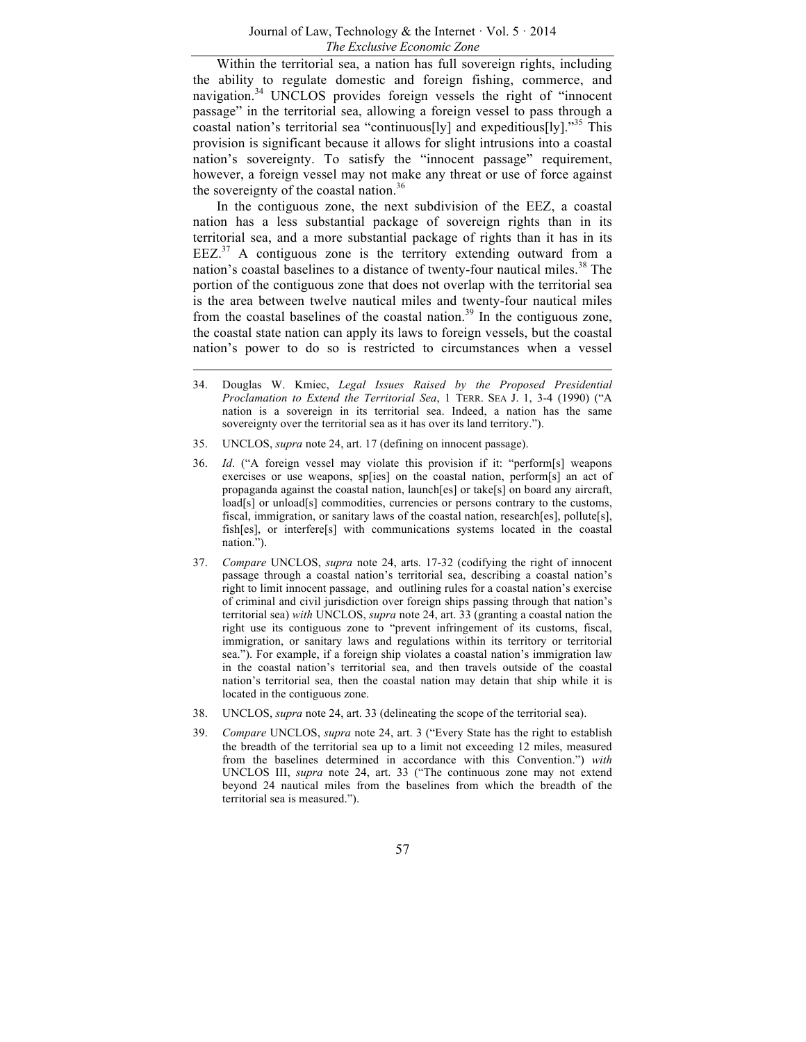Within the territorial sea, a nation has full sovereign rights, including the ability to regulate domestic and foreign fishing, commerce, and navigation.<sup>34</sup> UNCLOS provides foreign vessels the right of "innocent" passage" in the territorial sea, allowing a foreign vessel to pass through a coastal nation's territorial sea "continuous[ly] and expeditious[ly]."35 This provision is significant because it allows for slight intrusions into a coastal nation's sovereignty. To satisfy the "innocent passage" requirement, however, a foreign vessel may not make any threat or use of force against the sovereignty of the coastal nation.<sup>36</sup>

In the contiguous zone, the next subdivision of the EEZ, a coastal nation has a less substantial package of sovereign rights than in its territorial sea, and a more substantial package of rights than it has in its  $EEZ<sup>37</sup>$  A contiguous zone is the territory extending outward from a nation's coastal baselines to a distance of twenty-four nautical miles.<sup>38</sup> The portion of the contiguous zone that does not overlap with the territorial sea is the area between twelve nautical miles and twenty-four nautical miles from the coastal baselines of the coastal nation.<sup>39</sup> In the contiguous zone, the coastal state nation can apply its laws to foreign vessels, but the coastal nation's power to do so is restricted to circumstances when a vessel

- 34. Douglas W. Kmiec, *Legal Issues Raised by the Proposed Presidential Proclamation to Extend the Territorial Sea*, 1 TERR. SEA J. 1, 3-4 (1990) ("A nation is a sovereign in its territorial sea. Indeed, a nation has the same sovereignty over the territorial sea as it has over its land territory.").
- 35. UNCLOS, *supra* note 24, art. 17 (defining on innocent passage).
- 36. *Id*. ("A foreign vessel may violate this provision if it: "perform[s] weapons exercises or use weapons, sp[ies] on the coastal nation, perform[s] an act of propaganda against the coastal nation, launch[es] or take[s] on board any aircraft, load[s] or unload[s] commodities, currencies or persons contrary to the customs, fiscal, immigration, or sanitary laws of the coastal nation, research[es], pollute[s], fish[es], or interfere[s] with communications systems located in the coastal nation.").
- 37. *Compare* UNCLOS, *supra* note 24, arts. 17-32 (codifying the right of innocent passage through a coastal nation's territorial sea, describing a coastal nation's right to limit innocent passage, and outlining rules for a coastal nation's exercise of criminal and civil jurisdiction over foreign ships passing through that nation's territorial sea) *with* UNCLOS, *supra* note 24, art. 33 (granting a coastal nation the right use its contiguous zone to "prevent infringement of its customs, fiscal, immigration, or sanitary laws and regulations within its territory or territorial sea."). For example, if a foreign ship violates a coastal nation's immigration law in the coastal nation's territorial sea, and then travels outside of the coastal nation's territorial sea, then the coastal nation may detain that ship while it is located in the contiguous zone.
- 38. UNCLOS, *supra* note 24, art. 33 (delineating the scope of the territorial sea).
- 39. *Compare* UNCLOS, *supra* note 24, art. 3 ("Every State has the right to establish the breadth of the territorial sea up to a limit not exceeding 12 miles, measured from the baselines determined in accordance with this Convention.") *with*  UNCLOS III, *supra* note 24, art. 33 ("The continuous zone may not extend beyond 24 nautical miles from the baselines from which the breadth of the territorial sea is measured.").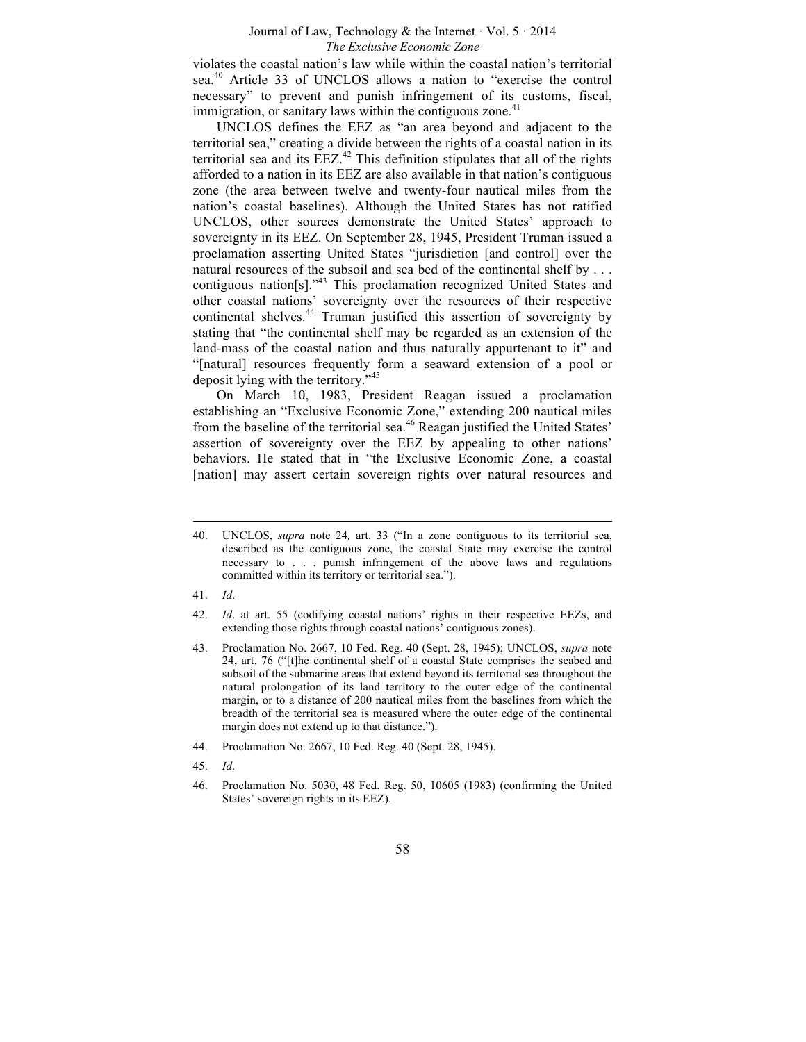violates the coastal nation's law while within the coastal nation's territorial sea.<sup>40</sup> Article 33 of UNCLOS allows a nation to "exercise the control necessary" to prevent and punish infringement of its customs, fiscal, immigration, or sanitary laws within the contiguous zone. $41$ 

UNCLOS defines the EEZ as "an area beyond and adjacent to the territorial sea," creating a divide between the rights of a coastal nation in its territorial sea and its  $EEZ^{42}$  This definition stipulates that all of the rights afforded to a nation in its EEZ are also available in that nation's contiguous zone (the area between twelve and twenty-four nautical miles from the nation's coastal baselines). Although the United States has not ratified UNCLOS, other sources demonstrate the United States' approach to sovereignty in its EEZ. On September 28, 1945, President Truman issued a proclamation asserting United States "jurisdiction [and control] over the natural resources of the subsoil and sea bed of the continental shelf by ... contiguous nation[s]."<sup>43</sup> This proclamation recognized United States and other coastal nations' sovereignty over the resources of their respective continental shelves.<sup>44</sup> Truman justified this assertion of sovereignty by stating that "the continental shelf may be regarded as an extension of the land-mass of the coastal nation and thus naturally appurtenant to it" and "[natural] resources frequently form a seaward extension of a pool or deposit lying with the territory."<sup>45</sup>

On March 10, 1983, President Reagan issued a proclamation establishing an "Exclusive Economic Zone," extending 200 nautical miles from the baseline of the territorial sea.<sup>46</sup> Reagan justified the United States' assertion of sovereignty over the EEZ by appealing to other nations' behaviors. He stated that in "the Exclusive Economic Zone, a coastal [nation] may assert certain sovereign rights over natural resources and

- 41. *Id*.
- 42. *Id*. at art. 55 (codifying coastal nations' rights in their respective EEZs, and extending those rights through coastal nations' contiguous zones).
- 43. Proclamation No. 2667, 10 Fed. Reg. 40 (Sept. 28, 1945); UNCLOS, *supra* note 24, art. 76 ("[t]he continental shelf of a coastal State comprises the seabed and subsoil of the submarine areas that extend beyond its territorial sea throughout the natural prolongation of its land territory to the outer edge of the continental margin, or to a distance of 200 nautical miles from the baselines from which the breadth of the territorial sea is measured where the outer edge of the continental margin does not extend up to that distance.").
- 44. Proclamation No. 2667, 10 Fed. Reg. 40 (Sept. 28, 1945).
- 45. *Id*.
- 46. Proclamation No. 5030, 48 Fed. Reg. 50, 10605 (1983) (confirming the United States' sovereign rights in its EEZ).

<sup>40.</sup> UNCLOS, *supra* note 24*,* art. 33 ("In a zone contiguous to its territorial sea, described as the contiguous zone, the coastal State may exercise the control necessary to . . . punish infringement of the above laws and regulations committed within its territory or territorial sea.").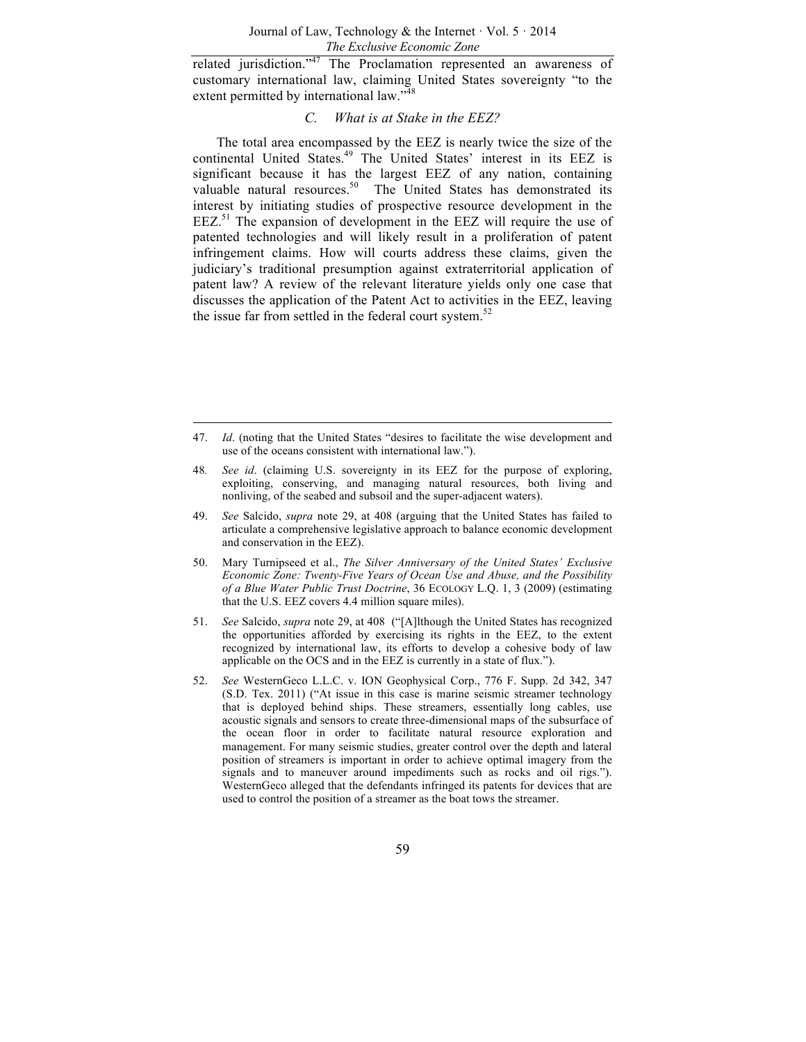related jurisdiction."<sup>47</sup> The Proclamation represented an awareness of customary international law, claiming United States sovereignty "to the extent permitted by international law."<sup>48</sup>

## *C. What is at Stake in the EEZ?*

The total area encompassed by the EEZ is nearly twice the size of the continental United States.<sup>49</sup> The United States' interest in its EEZ is significant because it has the largest EEZ of any nation, containing valuable natural resources.<sup>50</sup> The United States has demonstrated its interest by initiating studies of prospective resource development in the  $EEZ$ <sup>51</sup> The expansion of development in the  $EEZ$  will require the use of patented technologies and will likely result in a proliferation of patent infringement claims. How will courts address these claims, given the judiciary's traditional presumption against extraterritorial application of patent law? A review of the relevant literature yields only one case that discusses the application of the Patent Act to activities in the EEZ, leaving the issue far from settled in the federal court system. $52$ 

- 48*. See id*. (claiming U.S. sovereignty in its EEZ for the purpose of exploring, exploiting, conserving, and managing natural resources, both living and nonliving, of the seabed and subsoil and the super-adjacent waters).
- 49. *See* Salcido, *supra* note 29, at 408 (arguing that the United States has failed to articulate a comprehensive legislative approach to balance economic development and conservation in the EEZ).
- 50. Mary Turnipseed et al., *The Silver Anniversary of the United States' Exclusive Economic Zone: Twenty-Five Years of Ocean Use and Abuse, and the Possibility of a Blue Water Public Trust Doctrine*, 36 ECOLOGY L.Q. 1, 3 (2009) (estimating that the U.S. EEZ covers 4.4 million square miles).
- 51. *See* Salcido, *supra* note 29, at 408 ("[A]lthough the United States has recognized the opportunities afforded by exercising its rights in the EEZ, to the extent recognized by international law, its efforts to develop a cohesive body of law applicable on the OCS and in the EEZ is currently in a state of flux.").
- 52. *See* WesternGeco L.L.C. v. ION Geophysical Corp., 776 F. Supp. 2d 342, 347 (S.D. Tex. 2011) ("At issue in this case is marine seismic streamer technology that is deployed behind ships. These streamers, essentially long cables, use acoustic signals and sensors to create three-dimensional maps of the subsurface of the ocean floor in order to facilitate natural resource exploration and management. For many seismic studies, greater control over the depth and lateral position of streamers is important in order to achieve optimal imagery from the signals and to maneuver around impediments such as rocks and oil rigs."). WesternGeco alleged that the defendants infringed its patents for devices that are used to control the position of a streamer as the boat tows the streamer.

<sup>47.</sup> *Id*. (noting that the United States "desires to facilitate the wise development and use of the oceans consistent with international law.").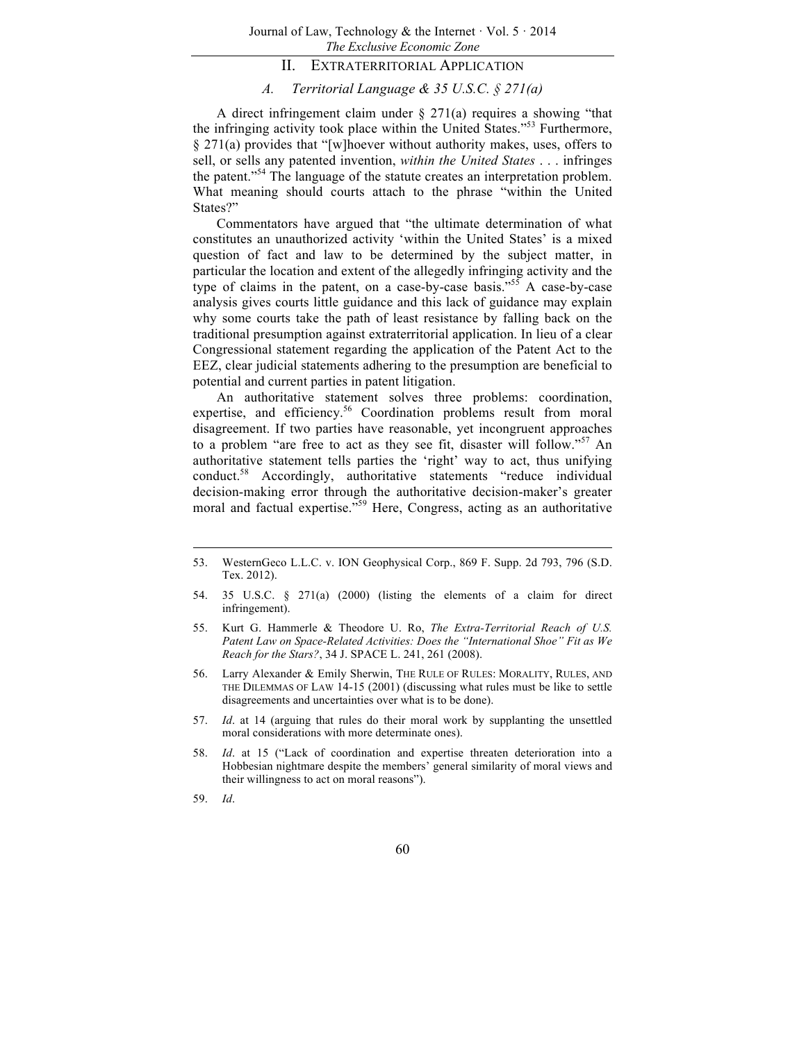## II. EXTRATERRITORIAL APPLICATION

## *A. Territorial Language & 35 U.S.C. § 271(a)*

A direct infringement claim under § 271(a) requires a showing "that the infringing activity took place within the United States."<sup>53</sup> Furthermore, § 271(a) provides that "[w]hoever without authority makes, uses, offers to sell, or sells any patented invention, *within the United States* . . . infringes the patent."<sup>54</sup> The language of the statute creates an interpretation problem. What meaning should courts attach to the phrase "within the United States?"

Commentators have argued that "the ultimate determination of what constitutes an unauthorized activity 'within the United States' is a mixed question of fact and law to be determined by the subject matter, in particular the location and extent of the allegedly infringing activity and the type of claims in the patent, on a case-by-case basis."<sup>55</sup> A case-by-case analysis gives courts little guidance and this lack of guidance may explain why some courts take the path of least resistance by falling back on the traditional presumption against extraterritorial application. In lieu of a clear Congressional statement regarding the application of the Patent Act to the EEZ, clear judicial statements adhering to the presumption are beneficial to potential and current parties in patent litigation.

An authoritative statement solves three problems: coordination, expertise, and efficiency.<sup>56</sup> Coordination problems result from moral disagreement. If two parties have reasonable, yet incongruent approaches to a problem "are free to act as they see fit, disaster will follow."<sup>57</sup> An authoritative statement tells parties the 'right' way to act, thus unifying conduct.<sup>58</sup> Accordingly, authoritative statements "reduce individual decision-making error through the authoritative decision-maker's greater moral and factual expertise.<sup>759</sup> Here, Congress, acting as an authoritative moral

59. *Id*.

<sup>53.</sup> WesternGeco L.L.C. v. ION Geophysical Corp., 869 F. Supp. 2d 793, 796 (S.D. Tex. 2012).

<sup>54.</sup> 35 U.S.C. § 271(a) (2000) (listing the elements of a claim for direct infringement).

<sup>55.</sup> Kurt G. Hammerle & Theodore U. Ro, *The Extra-Territorial Reach of U.S. Patent Law on Space-Related Activities: Does the "International Shoe" Fit as We Reach for the Stars?*, 34 J. SPACE L. 241, 261 (2008).

<sup>56.</sup> Larry Alexander & Emily Sherwin, THE RULE OF RULES: MORALITY, RULES, AND THE DILEMMAS OF LAW 14-15 (2001) (discussing what rules must be like to settle disagreements and uncertainties over what is to be done).

<sup>57.</sup> *Id*. at 14 (arguing that rules do their moral work by supplanting the unsettled moral considerations with more determinate ones).

<sup>58.</sup> *Id*. at 15 ("Lack of coordination and expertise threaten deterioration into a Hobbesian nightmare despite the members' general similarity of moral views and their willingness to act on moral reasons").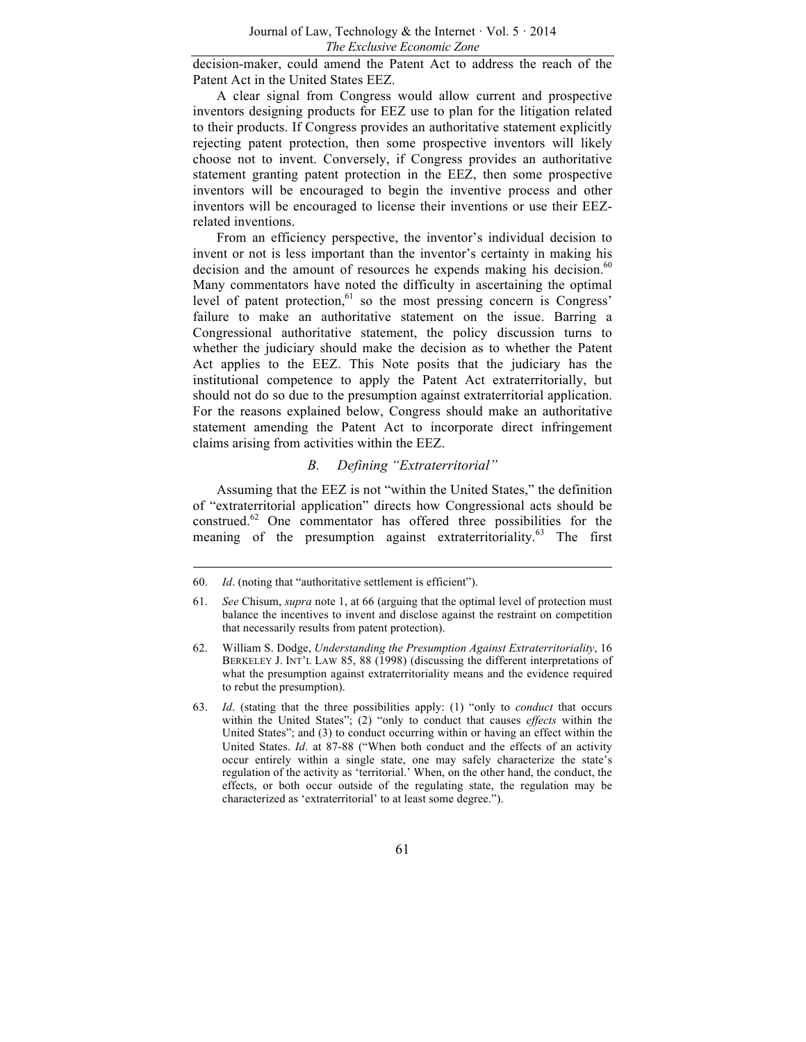decision-maker, could amend the Patent Act to address the reach of the Patent Act in the United States EEZ.

A clear signal from Congress would allow current and prospective inventors designing products for EEZ use to plan for the litigation related to their products. If Congress provides an authoritative statement explicitly rejecting patent protection, then some prospective inventors will likely choose not to invent. Conversely, if Congress provides an authoritative statement granting patent protection in the EEZ, then some prospective inventors will be encouraged to begin the inventive process and other inventors will be encouraged to license their inventions or use their EEZrelated inventions.

From an efficiency perspective, the inventor's individual decision to invent or not is less important than the inventor's certainty in making his decision and the amount of resources he expends making his decision.<sup>60</sup> Many commentators have noted the difficulty in ascertaining the optimal level of patent protection, $61$  so the most pressing concern is Congress' failure to make an authoritative statement on the issue. Barring a Congressional authoritative statement, the policy discussion turns to whether the judiciary should make the decision as to whether the Patent Act applies to the EEZ. This Note posits that the judiciary has the institutional competence to apply the Patent Act extraterritorially, but should not do so due to the presumption against extraterritorial application. For the reasons explained below, Congress should make an authoritative statement amending the Patent Act to incorporate direct infringement claims arising from activities within the EEZ.

### *B. Defining "Extraterritorial"*

Assuming that the EEZ is not "within the United States," the definition of "extraterritorial application" directs how Congressional acts should be construed.<sup>62</sup> One commentator has offered three possibilities for the meaning of the presumption against extraterritoriality. $^{63}$  The first

<sup>60.</sup> *Id*. (noting that "authoritative settlement is efficient").

<sup>61.</sup> *See* Chisum, *supra* note 1, at 66 (arguing that the optimal level of protection must balance the incentives to invent and disclose against the restraint on competition that necessarily results from patent protection).

<sup>62.</sup> William S. Dodge, *Understanding the Presumption Against Extraterritoriality*, 16 BERKELEY J. INT'L LAW 85, 88 (1998) (discussing the different interpretations of what the presumption against extraterritoriality means and the evidence required to rebut the presumption).

<sup>63.</sup> *Id*. (stating that the three possibilities apply: (1) "only to *conduct* that occurs within the United States"; (2) "only to conduct that causes *effects* within the United States"; and (3) to conduct occurring within or having an effect within the United States. *Id*. at 87-88 ("When both conduct and the effects of an activity occur entirely within a single state, one may safely characterize the state's regulation of the activity as 'territorial.' When, on the other hand, the conduct, the effects, or both occur outside of the regulating state, the regulation may be characterized as 'extraterritorial' to at least some degree.").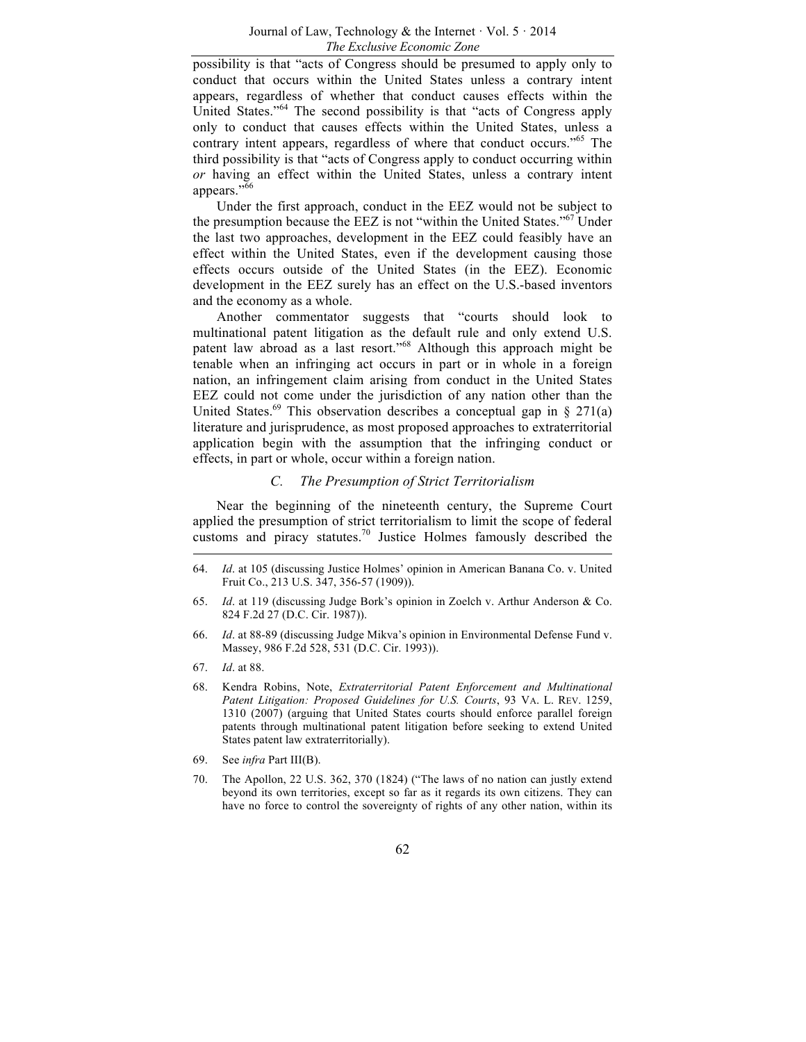possibility is that "acts of Congress should be presumed to apply only to conduct that occurs within the United States unless a contrary intent appears, regardless of whether that conduct causes effects within the United States."<sup>64</sup> The second possibility is that "acts of Congress apply only to conduct that causes effects within the United States, unless a contrary intent appears, regardless of where that conduct occurs.<sup>565</sup> The third possibility is that "acts of Congress apply to conduct occurring within *or* having an effect within the United States, unless a contrary intent appears." $\overline{66}$ 

Under the first approach, conduct in the EEZ would not be subject to the presumption because the EEZ is not "within the United States."<sup>67</sup> Under the last two approaches, development in the EEZ could feasibly have an effect within the United States, even if the development causing those effects occurs outside of the United States (in the EEZ). Economic development in the EEZ surely has an effect on the U.S.-based inventors and the economy as a whole.

Another commentator suggests that "courts should look to multinational patent litigation as the default rule and only extend U.S. patent law abroad as a last resort."<sup>68</sup> Although this approach might be tenable when an infringing act occurs in part or in whole in a foreign nation, an infringement claim arising from conduct in the United States EEZ could not come under the jurisdiction of any nation other than the United States.<sup>69</sup> This observation describes a conceptual gap in  $\S$  271(a) literature and jurisprudence, as most proposed approaches to extraterritorial application begin with the assumption that the infringing conduct or effects, in part or whole, occur within a foreign nation.

## *C. The Presumption of Strict Territorialism*

Near the beginning of the nineteenth century, the Supreme Court applied the presumption of strict territorialism to limit the scope of federal customs and piracy statutes.<sup>70</sup> Justice Holmes famously described the

- 66. *Id*. at 88-89 (discussing Judge Mikva's opinion in Environmental Defense Fund v. Massey, 986 F.2d 528, 531 (D.C. Cir. 1993)).
- 67. *Id*. at 88.
- 68. Kendra Robins, Note, *Extraterritorial Patent Enforcement and Multinational Patent Litigation: Proposed Guidelines for U.S. Courts*, 93 VA. L. REV. 1259, 1310 (2007) (arguing that United States courts should enforce parallel foreign patents through multinational patent litigation before seeking to extend United States patent law extraterritorially).
- 69. See *infra* Part III(B).
- 70. The Apollon, 22 U.S. 362, 370 (1824) ("The laws of no nation can justly extend beyond its own territories, except so far as it regards its own citizens. They can have no force to control the sovereignty of rights of any other nation, within its

<sup>64.</sup> *Id*. at 105 (discussing Justice Holmes' opinion in American Banana Co. v. United Fruit Co., 213 U.S. 347, 356-57 (1909)).

<sup>65.</sup> *Id*. at 119 (discussing Judge Bork's opinion in Zoelch v. Arthur Anderson & Co. 824 F.2d 27 (D.C. Cir. 1987)).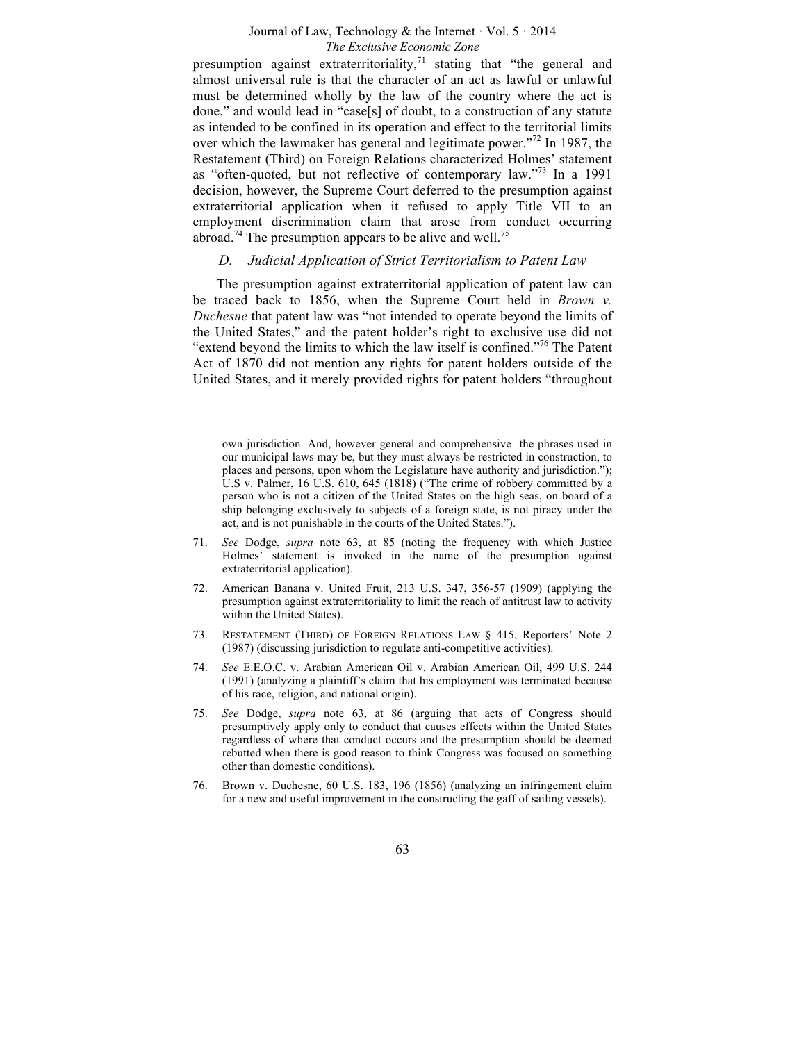presumption against extraterritoriality, $71$  stating that "the general and almost universal rule is that the character of an act as lawful or unlawful must be determined wholly by the law of the country where the act is done," and would lead in "case[s] of doubt, to a construction of any statute as intended to be confined in its operation and effect to the territorial limits over which the lawmaker has general and legitimate power."<sup>72</sup> In 1987, the Restatement (Third) on Foreign Relations characterized Holmes' statement as "often-quoted, but not reflective of contemporary law."<sup>73</sup> In a 1991 decision, however, the Supreme Court deferred to the presumption against extraterritorial application when it refused to apply Title VII to an employment discrimination claim that arose from conduct occurring abroad.<sup>74</sup> The presumption appears to be alive and well.<sup>75</sup>

## *D. Judicial Application of Strict Territorialism to Patent Law*

The presumption against extraterritorial application of patent law can be traced back to 1856, when the Supreme Court held in *Brown v. Duchesne* that patent law was "not intended to operate beyond the limits of the United States," and the patent holder's right to exclusive use did not "extend beyond the limits to which the law itself is confined."76 The Patent Act of 1870 did not mention any rights for patent holders outside of the United States, and it merely provided rights for patent holders "throughout

- 71. *See* Dodge, *supra* note 63, at 85 (noting the frequency with which Justice Holmes' statement is invoked in the name of the presumption against extraterritorial application).
- 72. American Banana v. United Fruit, 213 U.S. 347, 356-57 (1909) (applying the presumption against extraterritoriality to limit the reach of antitrust law to activity within the United States).
- 73. RESTATEMENT (THIRD) OF FOREIGN RELATIONS LAW § 415, Reporters' Note 2 (1987) (discussing jurisdiction to regulate anti-competitive activities).
- 74. *See* E.E.O.C. v. Arabian American Oil v. Arabian American Oil, 499 U.S. 244 (1991) (analyzing a plaintiff's claim that his employment was terminated because of his race, religion, and national origin).
- 75. *See* Dodge, *supra* note 63, at 86 (arguing that acts of Congress should presumptively apply only to conduct that causes effects within the United States regardless of where that conduct occurs and the presumption should be deemed rebutted when there is good reason to think Congress was focused on something other than domestic conditions).
- 76. Brown v. Duchesne, 60 U.S. 183, 196 (1856) (analyzing an infringement claim for a new and useful improvement in the constructing the gaff of sailing vessels).

own jurisdiction. And, however general and comprehensive the phrases used in our municipal laws may be, but they must always be restricted in construction, to places and persons, upon whom the Legislature have authority and jurisdiction."); U.S v. Palmer, 16 U.S. 610, 645 (1818) ("The crime of robbery committed by a person who is not a citizen of the United States on the high seas, on board of a ship belonging exclusively to subjects of a foreign state, is not piracy under the act, and is not punishable in the courts of the United States.").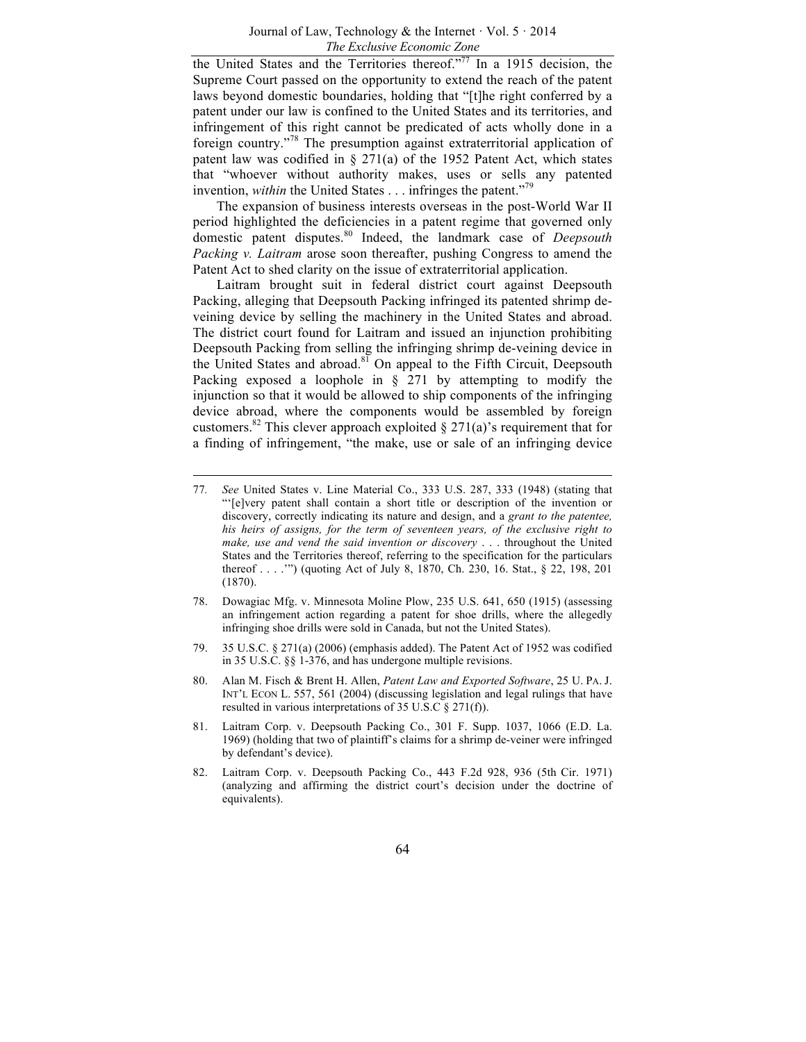the United States and the Territories thereof."77 In a 1915 decision, the Supreme Court passed on the opportunity to extend the reach of the patent laws beyond domestic boundaries, holding that "[t]he right conferred by a patent under our law is confined to the United States and its territories, and infringement of this right cannot be predicated of acts wholly done in a foreign country."<sup>78</sup> The presumption against extraterritorial application of patent law was codified in  $\S 271(a)$  of the 1952 Patent Act, which states that "whoever without authority makes, uses or sells any patented invention, *within* the United States . . . infringes the patent.<sup>779</sup>

The expansion of business interests overseas in the post-World War II period highlighted the deficiencies in a patent regime that governed only domestic patent disputes.<sup>80</sup> Indeed, the landmark case of *Deepsouth Packing v. Laitram* arose soon thereafter, pushing Congress to amend the Patent Act to shed clarity on the issue of extraterritorial application.

Laitram brought suit in federal district court against Deepsouth Packing, alleging that Deepsouth Packing infringed its patented shrimp deveining device by selling the machinery in the United States and abroad. The district court found for Laitram and issued an injunction prohibiting Deepsouth Packing from selling the infringing shrimp de-veining device in the United States and abroad. $81$  On appeal to the Fifth Circuit, Deepsouth Packing exposed a loophole in  $\S$  271 by attempting to modify the injunction so that it would be allowed to ship components of the infringing device abroad, where the components would be assembled by foreign customers.<sup>82</sup> This clever approach exploited  $\S 271(a)$ 's requirement that for a finding of infringement, "the make, use or sale of an infringing device

- 78. Dowagiac Mfg. v. Minnesota Moline Plow, 235 U.S. 641, 650 (1915) (assessing an infringement action regarding a patent for shoe drills, where the allegedly infringing shoe drills were sold in Canada, but not the United States).
- 79. 35 U.S.C. § 271(a) (2006) (emphasis added). The Patent Act of 1952 was codified in 35 U.S.C. §§ 1-376, and has undergone multiple revisions.
- 80. Alan M. Fisch & Brent H. Allen, *Patent Law and Exported Software*, 25 U. PA. J. INT'L ECON L. 557, 561 (2004) (discussing legislation and legal rulings that have resulted in various interpretations of 35 U.S.C § 271(f)).
- 81. Laitram Corp. v. Deepsouth Packing Co., 301 F. Supp. 1037, 1066 (E.D. La. 1969) (holding that two of plaintiff's claims for a shrimp de-veiner were infringed by defendant's device).
- 82. Laitram Corp. v. Deepsouth Packing Co., 443 F.2d 928, 936 (5th Cir. 1971) (analyzing and affirming the district court's decision under the doctrine of equivalents).

<sup>77</sup>*. See* United States v. Line Material Co., 333 U.S. 287, 333 (1948) (stating that "'[e]very patent shall contain a short title or description of the invention or discovery, correctly indicating its nature and design, and a *grant to the patentee, his heirs of assigns, for the term of seventeen years, of the exclusive right to make, use and vend the said invention or discovery* . . . throughout the United States and the Territories thereof, referring to the specification for the particulars thereof . . . .'") (quoting Act of July 8, 1870, Ch. 230, 16. Stat., § 22, 198, 201 (1870).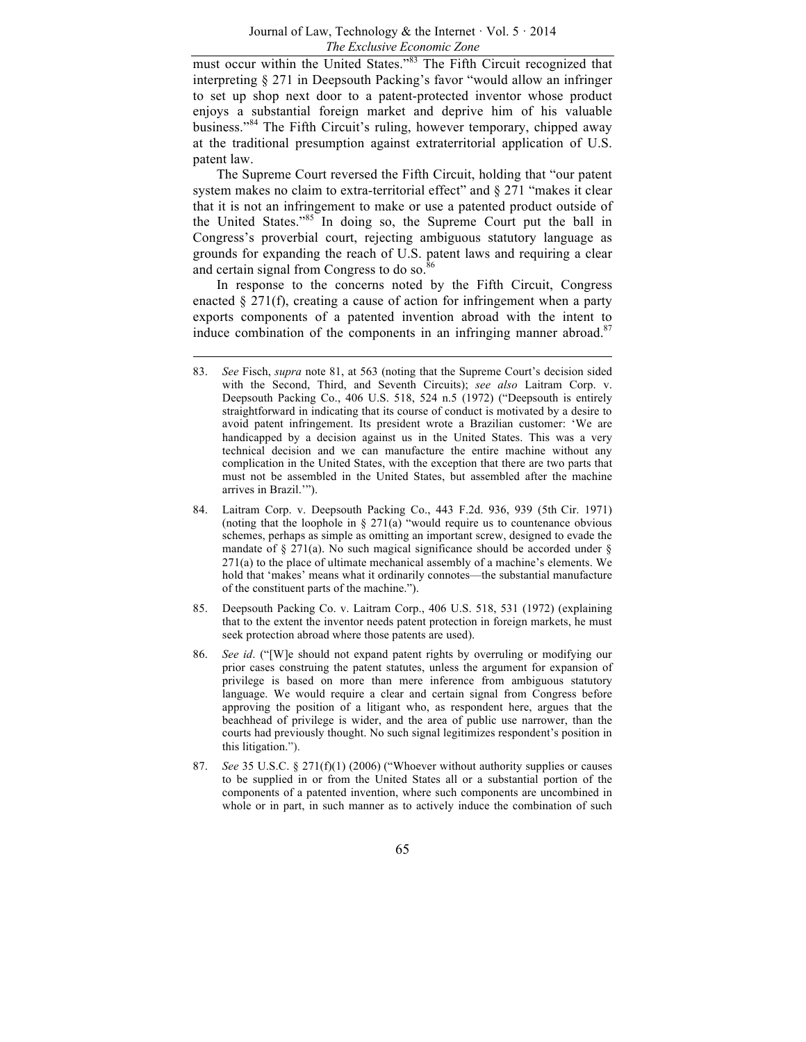must occur within the United States."<sup>83</sup> The Fifth Circuit recognized that interpreting § 271 in Deepsouth Packing's favor "would allow an infringer to set up shop next door to a patent-protected inventor whose product enjoys a substantial foreign market and deprive him of his valuable business."<sup>84</sup> The Fifth Circuit's ruling, however temporary, chipped away at the traditional presumption against extraterritorial application of U.S. patent law.

The Supreme Court reversed the Fifth Circuit, holding that "our patent system makes no claim to extra-territorial effect" and  $\S 271$  "makes it clear that it is not an infringement to make or use a patented product outside of the United States."<sup>85</sup> In doing so, the Supreme Court put the ball in Congress's proverbial court, rejecting ambiguous statutory language as grounds for expanding the reach of U.S. patent laws and requiring a clear and certain signal from Congress to do so.<sup>86</sup>

In response to the concerns noted by the Fifth Circuit, Congress enacted  $\S 271(f)$ , creating a cause of action for infringement when a party exports components of a patented invention abroad with the intent to induce combination of the components in an infringing manner abroad. $87$ 

- 85. Deepsouth Packing Co. v. Laitram Corp., 406 U.S. 518, 531 (1972) (explaining that to the extent the inventor needs patent protection in foreign markets, he must seek protection abroad where those patents are used).
- 86. *See id*. ("[W]e should not expand patent rights by overruling or modifying our prior cases construing the patent statutes, unless the argument for expansion of privilege is based on more than mere inference from ambiguous statutory language. We would require a clear and certain signal from Congress before approving the position of a litigant who, as respondent here, argues that the beachhead of privilege is wider, and the area of public use narrower, than the courts had previously thought. No such signal legitimizes respondent's position in this litigation.").
- 87. *See* 35 U.S.C. § 271(f)(1) (2006) ("Whoever without authority supplies or causes to be supplied in or from the United States all or a substantial portion of the components of a patented invention, where such components are uncombined in whole or in part, in such manner as to actively induce the combination of such

<sup>83.</sup> *See* Fisch, *supra* note 81, at 563 (noting that the Supreme Court's decision sided with the Second, Third, and Seventh Circuits); *see also* Laitram Corp. v. Deepsouth Packing Co., 406 U.S. 518, 524 n.5 (1972) ("Deepsouth is entirely straightforward in indicating that its course of conduct is motivated by a desire to avoid patent infringement. Its president wrote a Brazilian customer: 'We are handicapped by a decision against us in the United States. This was a very technical decision and we can manufacture the entire machine without any complication in the United States, with the exception that there are two parts that must not be assembled in the United States, but assembled after the machine arrives in Brazil.'").

<sup>84.</sup> Laitram Corp. v. Deepsouth Packing Co., 443 F.2d. 936, 939 (5th Cir. 1971) (noting that the loophole in  $\S 271(a)$  "would require us to countenance obvious schemes, perhaps as simple as omitting an important screw, designed to evade the mandate of  $\S 271(a)$ . No such magical significance should be accorded under  $\S$ 271(a) to the place of ultimate mechanical assembly of a machine's elements. We hold that 'makes' means what it ordinarily connotes—the substantial manufacture of the constituent parts of the machine.").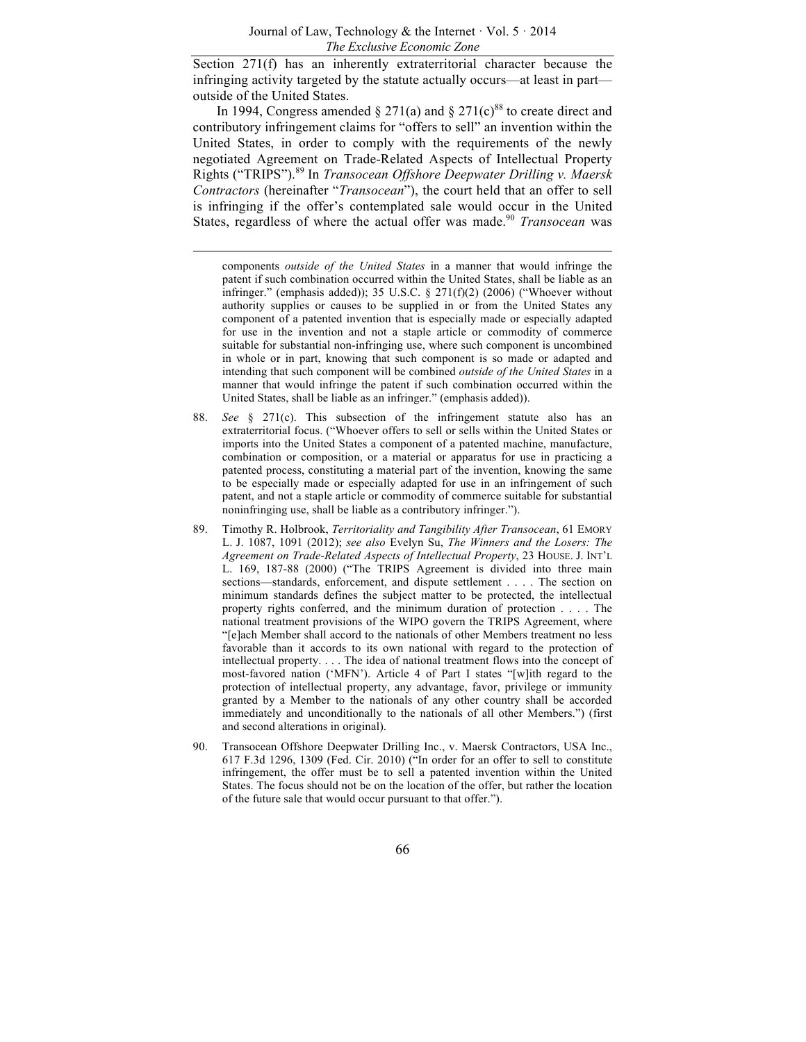Section 271(f) has an inherently extraterritorial character because the infringing activity targeted by the statute actually occurs—at least in part outside of the United States.

In 1994, Congress amended  $\S 271(a)$  and  $\S 271(c)$ <sup>88</sup> to create direct and contributory infringement claims for "offers to sell" an invention within the United States, in order to comply with the requirements of the newly negotiated Agreement on Trade-Related Aspects of Intellectual Property Rights ("TRIPS").<sup>89</sup> In *Transocean Offshore Deepwater Drilling v. Maersk Contractors* (hereinafter "*Transocean*"), the court held that an offer to sell is infringing if the offer's contemplated sale would occur in the United States, regardless of where the actual offer was made.<sup>90</sup> *Transocean* was

components *outside of the United States* in a manner that would infringe the patent if such combination occurred within the United States, shall be liable as an infringer." (emphasis added)); 35 U.S.C. § 271(f)(2) (2006) ("Whoever without authority supplies or causes to be supplied in or from the United States any component of a patented invention that is especially made or especially adapted for use in the invention and not a staple article or commodity of commerce suitable for substantial non-infringing use, where such component is uncombined in whole or in part, knowing that such component is so made or adapted and intending that such component will be combined *outside of the United States* in a manner that would infringe the patent if such combination occurred within the United States, shall be liable as an infringer." (emphasis added)).

- 88. *See* § 271(c). This subsection of the infringement statute also has an extraterritorial focus. ("Whoever offers to sell or sells within the United States or imports into the United States a component of a patented machine, manufacture, combination or composition, or a material or apparatus for use in practicing a patented process, constituting a material part of the invention, knowing the same to be especially made or especially adapted for use in an infringement of such patent, and not a staple article or commodity of commerce suitable for substantial noninfringing use, shall be liable as a contributory infringer.").
- 89. Timothy R. Holbrook, *Territoriality and Tangibility After Transocean*, 61 EMORY L. J. 1087, 1091 (2012); *see also* Evelyn Su, *The Winners and the Losers: The Agreement on Trade-Related Aspects of Intellectual Property*, 23 HOUSE. J. INT'L L. 169, 187-88 (2000) ("The TRIPS Agreement is divided into three main sections—standards, enforcement, and dispute settlement . . . . The section on minimum standards defines the subject matter to be protected, the intellectual property rights conferred, and the minimum duration of protection . . . . The national treatment provisions of the WIPO govern the TRIPS Agreement, where "[e]ach Member shall accord to the nationals of other Members treatment no less favorable than it accords to its own national with regard to the protection of intellectual property. . . . The idea of national treatment flows into the concept of most-favored nation ('MFN'). Article 4 of Part I states "[w]ith regard to the protection of intellectual property, any advantage, favor, privilege or immunity granted by a Member to the nationals of any other country shall be accorded immediately and unconditionally to the nationals of all other Members.") (first and second alterations in original).
- 90. Transocean Offshore Deepwater Drilling Inc., v. Maersk Contractors, USA Inc., 617 F.3d 1296, 1309 (Fed. Cir. 2010) ("In order for an offer to sell to constitute infringement, the offer must be to sell a patented invention within the United States. The focus should not be on the location of the offer, but rather the location of the future sale that would occur pursuant to that offer.").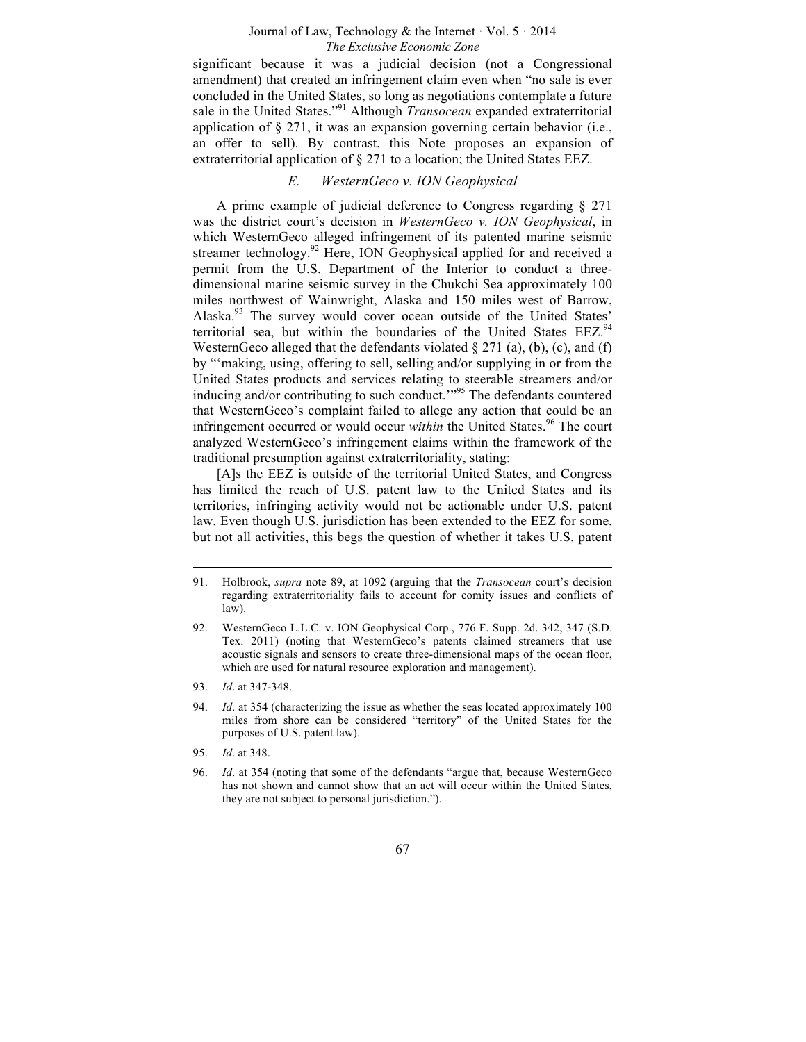significant because it was a judicial decision (not a Congressional amendment) that created an infringement claim even when "no sale is ever concluded in the United States, so long as negotiations contemplate a future sale in the United States."<sup>91</sup> Although *Transocean* expanded extraterritorial application of  $\S 271$ , it was an expansion governing certain behavior (i.e., an offer to sell). By contrast, this Note proposes an expansion of extraterritorial application of § 271 to a location; the United States EEZ.

## *E. WesternGeco v. ION Geophysical*

A prime example of judicial deference to Congress regarding § 271 was the district court's decision in *WesternGeco v. ION Geophysical*, in which WesternGeco alleged infringement of its patented marine seismic streamer technology.<sup>92</sup> Here, ION Geophysical applied for and received a permit from the U.S. Department of the Interior to conduct a threedimensional marine seismic survey in the Chukchi Sea approximately 100 miles northwest of Wainwright, Alaska and 150 miles west of Barrow, Alaska.<sup>93</sup> The survey would cover ocean outside of the United States' territorial sea, but within the boundaries of the United States  $EEZ<sup>94</sup>$ WesternGeco alleged that the defendants violated  $\S 271$  (a), (b), (c), and (f) by "'making, using, offering to sell, selling and/or supplying in or from the United States products and services relating to steerable streamers and/or inducing and/or contributing to such conduct."<sup>95</sup> The defendants countered that WesternGeco's complaint failed to allege any action that could be an infringement occurred or would occur *within* the United States.<sup>96</sup> The court analyzed WesternGeco's infringement claims within the framework of the traditional presumption against extraterritoriality, stating:

[A]s the EEZ is outside of the territorial United States, and Congress has limited the reach of U.S. patent law to the United States and its territories, infringing activity would not be actionable under U.S. patent law. Even though U.S. jurisdiction has been extended to the EEZ for some, but not all activities, this begs the question of whether it takes U.S. patent

93. *Id*. at 347-348.

95. *Id*. at 348.

<sup>91.</sup> Holbrook, *supra* note 89, at 1092 (arguing that the *Transocean* court's decision regarding extraterritoriality fails to account for comity issues and conflicts of law).

<sup>92.</sup> WesternGeco L.L.C. v. ION Geophysical Corp., 776 F. Supp. 2d. 342, 347 (S.D. Tex. 2011) (noting that WesternGeco's patents claimed streamers that use acoustic signals and sensors to create three-dimensional maps of the ocean floor, which are used for natural resource exploration and management).

<sup>94.</sup> *Id*. at 354 (characterizing the issue as whether the seas located approximately 100 miles from shore can be considered "territory" of the United States for the purposes of U.S. patent law).

<sup>96.</sup> *Id*. at 354 (noting that some of the defendants "argue that, because WesternGeco has not shown and cannot show that an act will occur within the United States, they are not subject to personal jurisdiction.").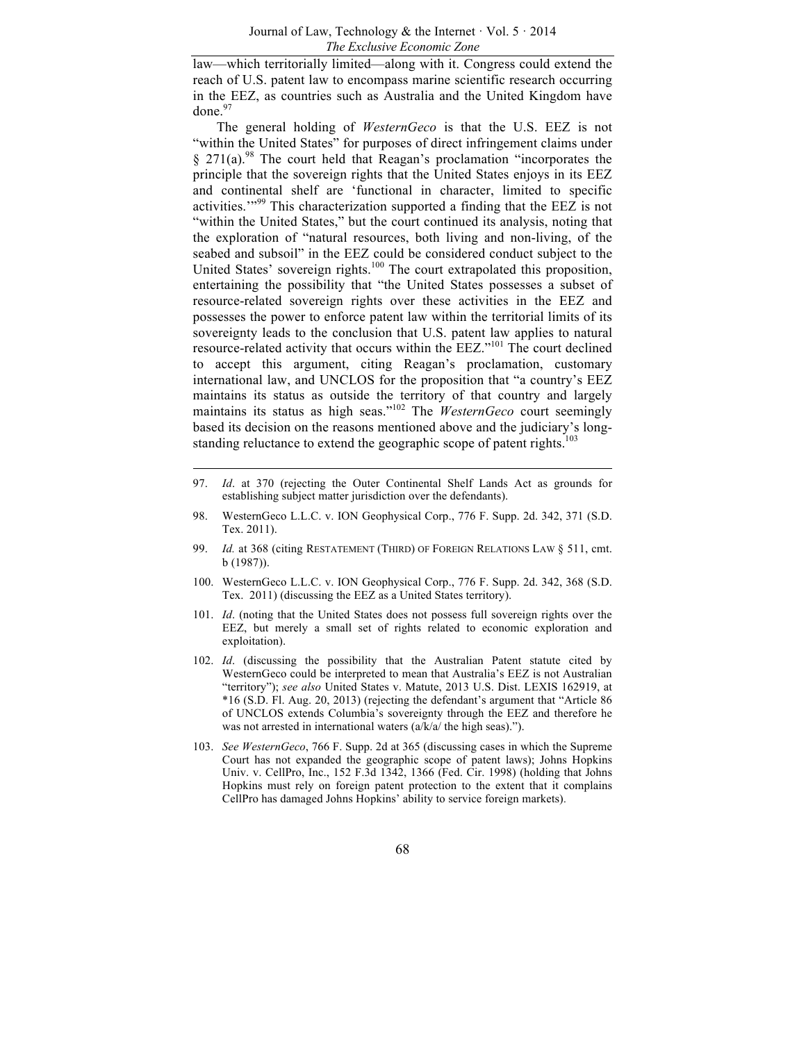law—which territorially limited—along with it. Congress could extend the reach of U.S. patent law to encompass marine scientific research occurring in the EEZ, as countries such as Australia and the United Kingdom have done. $97$ 

The general holding of *WesternGeco* is that the U.S. EEZ is not "within the United States" for purposes of direct infringement claims under  $§$  271(a).<sup>98</sup> The court held that Reagan's proclamation "incorporates the principle that the sovereign rights that the United States enjoys in its EEZ and continental shelf are 'functional in character, limited to specific activities.'"<sup>99</sup> This characterization supported a finding that the EEZ is not "within the United States," but the court continued its analysis, noting that the exploration of "natural resources, both living and non-living, of the seabed and subsoil" in the EEZ could be considered conduct subject to the United States' sovereign rights.<sup>100</sup> The court extrapolated this proposition, entertaining the possibility that "the United States possesses a subset of resource-related sovereign rights over these activities in the EEZ and possesses the power to enforce patent law within the territorial limits of its sovereignty leads to the conclusion that U.S. patent law applies to natural resource-related activity that occurs within the EEZ."<sup>101</sup> The court declined to accept this argument, citing Reagan's proclamation, customary international law, and UNCLOS for the proposition that "a country's EEZ maintains its status as outside the territory of that country and largely maintains its status as high seas.<sup>"102</sup> The *WesternGeco* court seemingly based its decision on the reasons mentioned above and the judiciary's longstanding reluctance to extend the geographic scope of patent rights.<sup>103</sup>

- 100. WesternGeco L.L.C. v. ION Geophysical Corp., 776 F. Supp. 2d. 342, 368 (S.D. Tex. 2011) (discussing the EEZ as a United States territory).
- 101. *Id*. (noting that the United States does not possess full sovereign rights over the EEZ, but merely a small set of rights related to economic exploration and exploitation).
- 102. *Id*. (discussing the possibility that the Australian Patent statute cited by WesternGeco could be interpreted to mean that Australia's EEZ is not Australian "territory"); *see also* United States v. Matute, 2013 U.S. Dist. LEXIS 162919, at \*16 (S.D. Fl. Aug. 20, 2013) (rejecting the defendant's argument that "Article 86 of UNCLOS extends Columbia's sovereignty through the EEZ and therefore he was not arrested in international waters (a/k/a/ the high seas).").
- 103. *See WesternGeco*, 766 F. Supp. 2d at 365 (discussing cases in which the Supreme Court has not expanded the geographic scope of patent laws); Johns Hopkins Univ. v. CellPro, Inc., 152 F.3d 1342, 1366 (Fed. Cir. 1998) (holding that Johns Hopkins must rely on foreign patent protection to the extent that it complains CellPro has damaged Johns Hopkins' ability to service foreign markets).

<sup>97.</sup> *Id*. at 370 (rejecting the Outer Continental Shelf Lands Act as grounds for establishing subject matter jurisdiction over the defendants).

<sup>98.</sup> WesternGeco L.L.C. v. ION Geophysical Corp., 776 F. Supp. 2d. 342, 371 (S.D. Tex. 2011).

<sup>99.</sup> *Id.* at 368 (citing RESTATEMENT (THIRD) OF FOREIGN RELATIONS LAW § 511, cmt. b (1987)).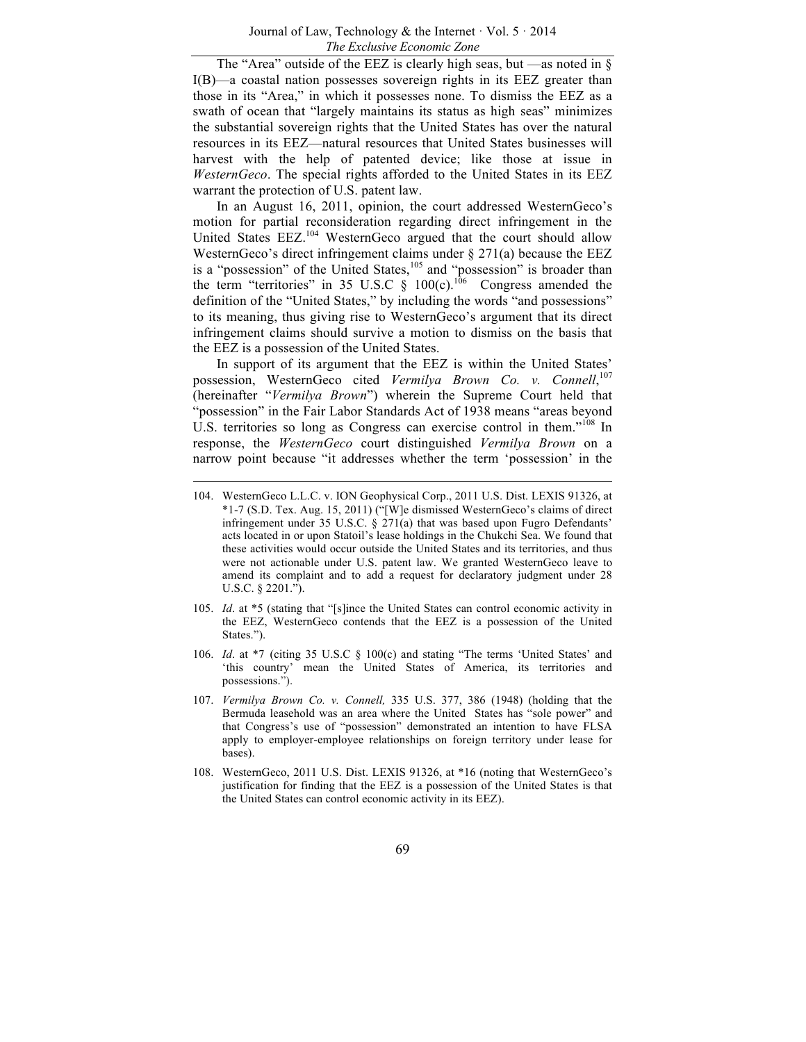The "Area" outside of the EEZ is clearly high seas, but —as noted in  $\S$ I(B)—a coastal nation possesses sovereign rights in its EEZ greater than those in its "Area," in which it possesses none. To dismiss the EEZ as a swath of ocean that "largely maintains its status as high seas" minimizes the substantial sovereign rights that the United States has over the natural resources in its EEZ—natural resources that United States businesses will harvest with the help of patented device; like those at issue in *WesternGeco*. The special rights afforded to the United States in its EEZ warrant the protection of U.S. patent law.

In an August 16, 2011, opinion, the court addressed WesternGeco's motion for partial reconsideration regarding direct infringement in the United States EEZ.<sup>104</sup> WesternGeco argued that the court should allow WesternGeco's direct infringement claims under § 271(a) because the EEZ is a "possession" of the United States,<sup>105</sup> and "possession" is broader than the term "territories" in 35 U.S.C  $\S$  100(c).<sup>106</sup> Congress amended the definition of the "United States," by including the words "and possessions" to its meaning, thus giving rise to WesternGeco's argument that its direct infringement claims should survive a motion to dismiss on the basis that the EEZ is a possession of the United States.

In support of its argument that the EEZ is within the United States' possession, WesternGeco cited Vermilya Brown Co. v. Connell,<sup>107</sup> (hereinafter "*Vermilya Brown*") wherein the Supreme Court held that "possession" in the Fair Labor Standards Act of 1938 means "areas beyond U.S. territories so long as Congress can exercise control in them."<sup>108</sup> In response, the *WesternGeco* court distinguished *Vermilya Brown* on a narrow point because "it addresses whether the term 'possession' in the

- 105. *Id*. at \*5 (stating that "[s]ince the United States can control economic activity in the EEZ, WesternGeco contends that the EEZ is a possession of the United States.").
- 106. *Id*. at \*7 (citing 35 U.S.C § 100(c) and stating "The terms 'United States' and 'this country' mean the United States of America, its territories and possessions.").
- 107. *Vermilya Brown Co. v. Connell,* 335 U.S. 377, 386 (1948) (holding that the Bermuda leasehold was an area where the United States has "sole power" and that Congress's use of "possession" demonstrated an intention to have FLSA apply to employer-employee relationships on foreign territory under lease for bases).
- 108. WesternGeco, 2011 U.S. Dist. LEXIS 91326, at \*16 (noting that WesternGeco's justification for finding that the EEZ is a possession of the United States is that the United States can control economic activity in its EEZ).

<sup>104.</sup> WesternGeco L.L.C. v. ION Geophysical Corp., 2011 U.S. Dist. LEXIS 91326, at \*1-7 (S.D. Tex. Aug. 15, 2011) ("[W]e dismissed WesternGeco's claims of direct infringement under 35 U.S.C. § 271(a) that was based upon Fugro Defendants' acts located in or upon Statoil's lease holdings in the Chukchi Sea. We found that these activities would occur outside the United States and its territories, and thus were not actionable under U.S. patent law. We granted WesternGeco leave to amend its complaint and to add a request for declaratory judgment under 28 U.S.C. § 2201.").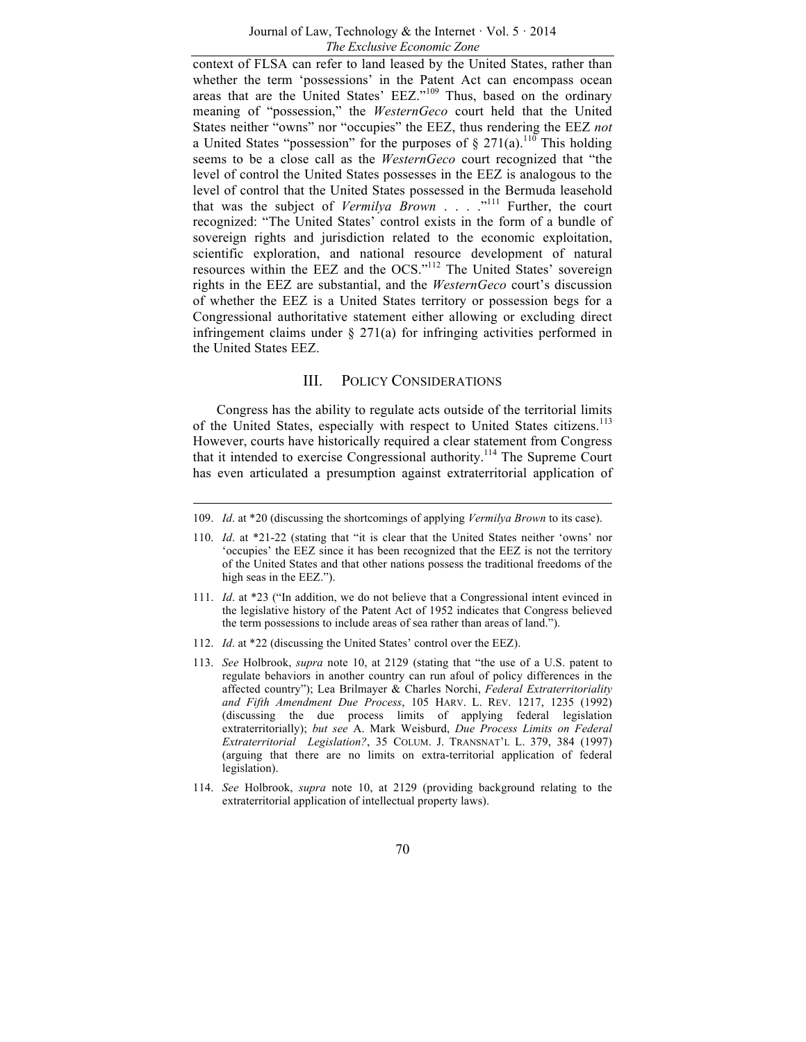context of FLSA can refer to land leased by the United States, rather than whether the term 'possessions' in the Patent Act can encompass ocean areas that are the United States' EEZ."<sup>109</sup> Thus, based on the ordinary meaning of "possession," the *WesternGeco* court held that the United States neither "owns" nor "occupies" the EEZ, thus rendering the EEZ *not* a United States "possession" for the purposes of  $\S 271(a)$ .<sup>110</sup> This holding seems to be a close call as the *WesternGeco* court recognized that "the level of control the United States possesses in the EEZ is analogous to the level of control that the United States possessed in the Bermuda leasehold that was the subject of *Vermilya Brown* . . . . .<sup>"111</sup> Further, the court recognized: "The United States' control exists in the form of a bundle of sovereign rights and jurisdiction related to the economic exploitation, scientific exploration, and national resource development of natural resources within the EEZ and the OCS."112 The United States' sovereign rights in the EEZ are substantial, and the *WesternGeco* court's discussion of whether the EEZ is a United States territory or possession begs for a Congressional authoritative statement either allowing or excluding direct infringement claims under § 271(a) for infringing activities performed in the United States EEZ.

## III. POLICY CONSIDERATIONS

Congress has the ability to regulate acts outside of the territorial limits of the United States, especially with respect to United States citizens.<sup>113</sup> However, courts have historically required a clear statement from Congress that it intended to exercise Congressional authority.<sup>114</sup> The Supreme Court has even articulated a presumption against extraterritorial application of

- 111. *Id*. at \*23 ("In addition, we do not believe that a Congressional intent evinced in the legislative history of the Patent Act of 1952 indicates that Congress believed the term possessions to include areas of sea rather than areas of land.").
- 112. *Id*. at \*22 (discussing the United States' control over the EEZ).
- 113. *See* Holbrook, *supra* note 10, at 2129 (stating that "the use of a U.S. patent to regulate behaviors in another country can run afoul of policy differences in the affected country"); Lea Brilmayer & Charles Norchi, *Federal Extraterritoriality and Fifth Amendment Due Process*, 105 HARV. L. REV. 1217, 1235 (1992) (discussing the due process limits of applying federal legislation extraterritorially); *but see* A. Mark Weisburd, *Due Process Limits on Federal Extraterritorial Legislation?*, 35 COLUM. J. TRANSNAT'L L. 379, 384 (1997) (arguing that there are no limits on extra-territorial application of federal legislation).
- 114. *See* Holbrook, *supra* note 10, at 2129 (providing background relating to the extraterritorial application of intellectual property laws).

<sup>109.</sup> *Id*. at \*20 (discussing the shortcomings of applying *Vermilya Brown* to its case).

<sup>110.</sup> *Id*. at \*21-22 (stating that "it is clear that the United States neither 'owns' nor 'occupies' the EEZ since it has been recognized that the EEZ is not the territory of the United States and that other nations possess the traditional freedoms of the high seas in the EEZ.").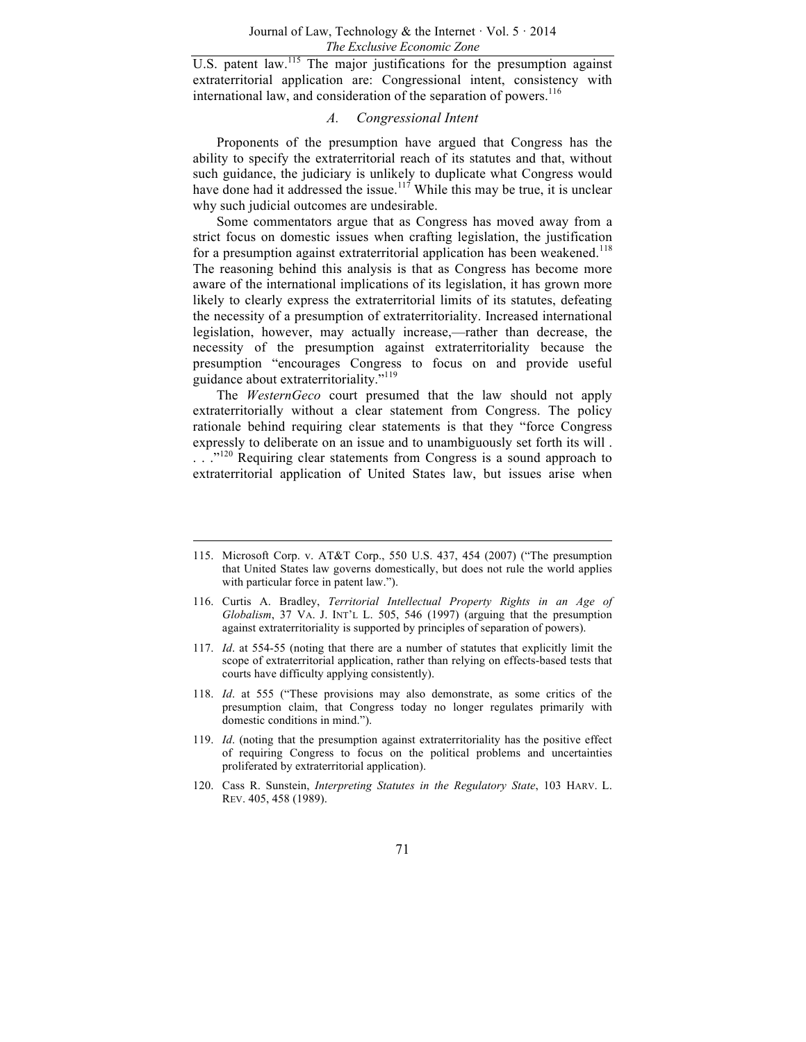U.S. patent law.<sup>115</sup> The major justifications for the presumption against extraterritorial application are: Congressional intent, consistency with international law, and consideration of the separation of powers.<sup>116</sup>

#### *A. Congressional Intent*

Proponents of the presumption have argued that Congress has the ability to specify the extraterritorial reach of its statutes and that, without such guidance, the judiciary is unlikely to duplicate what Congress would have done had it addressed the issue.<sup>117</sup> While this may be true, it is unclear why such judicial outcomes are undesirable.

Some commentators argue that as Congress has moved away from a strict focus on domestic issues when crafting legislation, the justification for a presumption against extraterritorial application has been weakened.<sup>118</sup> The reasoning behind this analysis is that as Congress has become more aware of the international implications of its legislation, it has grown more likely to clearly express the extraterritorial limits of its statutes, defeating the necessity of a presumption of extraterritoriality. Increased international legislation, however, may actually increase,—rather than decrease, the necessity of the presumption against extraterritoriality because the presumption "encourages Congress to focus on and provide useful guidance about extraterritoriality."<sup>119</sup>

The *WesternGeco* court presumed that the law should not apply extraterritorially without a clear statement from Congress. The policy rationale behind requiring clear statements is that they "force Congress expressly to deliberate on an issue and to unambiguously set forth its will .  $\ldots$ <sup>120</sup> Requiring clear statements from Congress is a sound approach to extraterritorial application of United States law, but issues arise when

- 117. *Id*. at 554-55 (noting that there are a number of statutes that explicitly limit the scope of extraterritorial application, rather than relying on effects-based tests that courts have difficulty applying consistently).
- 118. *Id*. at 555 ("These provisions may also demonstrate, as some critics of the presumption claim, that Congress today no longer regulates primarily with domestic conditions in mind.").
- 119. *Id*. (noting that the presumption against extraterritoriality has the positive effect of requiring Congress to focus on the political problems and uncertainties proliferated by extraterritorial application).
- 120. Cass R. Sunstein, *Interpreting Statutes in the Regulatory State*, 103 HARV. L. REV. 405, 458 (1989).

<sup>115.</sup> Microsoft Corp. v. AT&T Corp., 550 U.S. 437, 454 (2007) ("The presumption that United States law governs domestically, but does not rule the world applies with particular force in patent law.").

<sup>116.</sup> Curtis A. Bradley, *Territorial Intellectual Property Rights in an Age of Globalism*, 37 VA. J. INT'L L. 505, 546 (1997) (arguing that the presumption against extraterritoriality is supported by principles of separation of powers).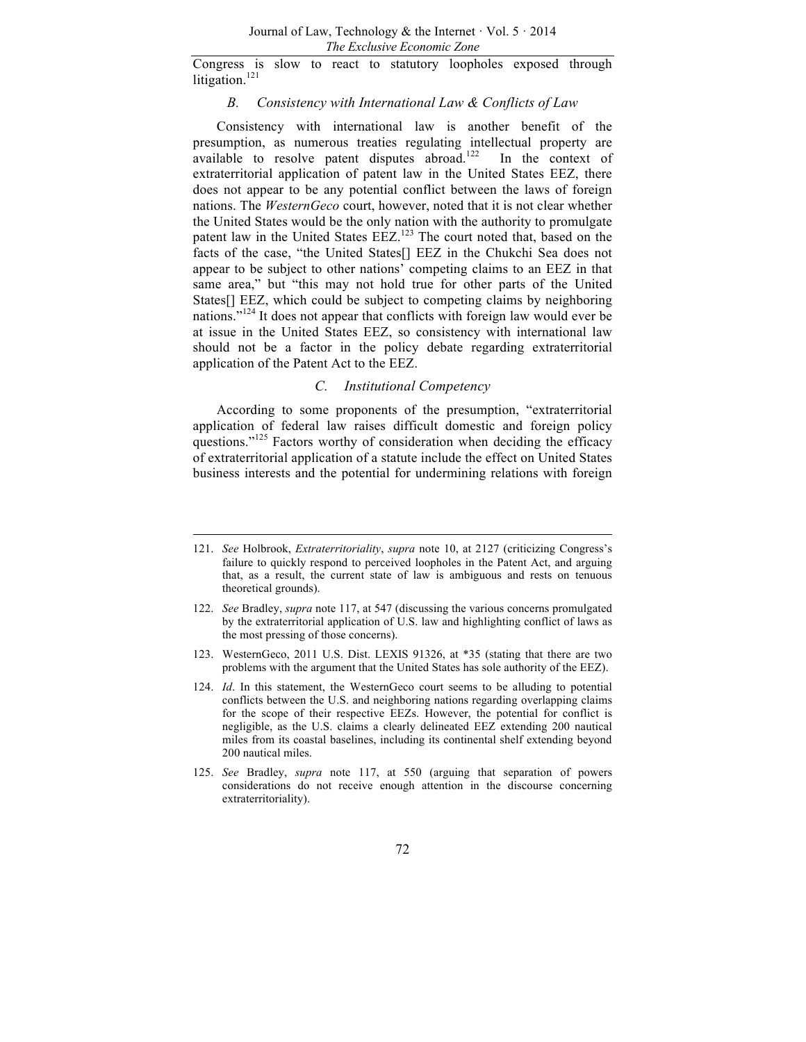Congress is slow to react to statutory loopholes exposed through litigation.<sup>121</sup>

#### *B. Consistency with International Law & Conflicts of Law*

Consistency with international law is another benefit of the presumption, as numerous treaties regulating intellectual property are available to resolve patent disputes abroad.<sup>122</sup> In the context of extraterritorial application of patent law in the United States EEZ, there does not appear to be any potential conflict between the laws of foreign nations. The *WesternGeco* court, however, noted that it is not clear whether the United States would be the only nation with the authority to promulgate patent law in the United States EEZ.<sup>123</sup> The court noted that, based on the facts of the case, "the United States[] EEZ in the Chukchi Sea does not appear to be subject to other nations' competing claims to an EEZ in that same area," but "this may not hold true for other parts of the United States[] EEZ, which could be subject to competing claims by neighboring nations."<sup>124</sup> It does not appear that conflicts with foreign law would ever be at issue in the United States EEZ, so consistency with international law should not be a factor in the policy debate regarding extraterritorial application of the Patent Act to the EEZ.

#### *C. Institutional Competency*

According to some proponents of the presumption, "extraterritorial application of federal law raises difficult domestic and foreign policy questions."<sup>125</sup> Factors worthy of consideration when deciding the efficacy of extraterritorial application of a statute include the effect on United States business interests and the potential for undermining relations with foreign

<sup>121.</sup> *See* Holbrook, *Extraterritoriality*, *supra* note 10, at 2127 (criticizing Congress's failure to quickly respond to perceived loopholes in the Patent Act, and arguing that, as a result, the current state of law is ambiguous and rests on tenuous theoretical grounds).

<sup>122.</sup> *See* Bradley, *supra* note 117, at 547 (discussing the various concerns promulgated by the extraterritorial application of U.S. law and highlighting conflict of laws as the most pressing of those concerns).

<sup>123.</sup> WesternGeco, 2011 U.S. Dist. LEXIS 91326, at \*35 (stating that there are two problems with the argument that the United States has sole authority of the EEZ).

<sup>124.</sup> *Id*. In this statement, the WesternGeco court seems to be alluding to potential conflicts between the U.S. and neighboring nations regarding overlapping claims for the scope of their respective EEZs. However, the potential for conflict is negligible, as the U.S. claims a clearly delineated EEZ extending 200 nautical miles from its coastal baselines, including its continental shelf extending beyond 200 nautical miles.

<sup>125.</sup> *See* Bradley, *supra* note 117, at 550 (arguing that separation of powers considerations do not receive enough attention in the discourse concerning extraterritoriality).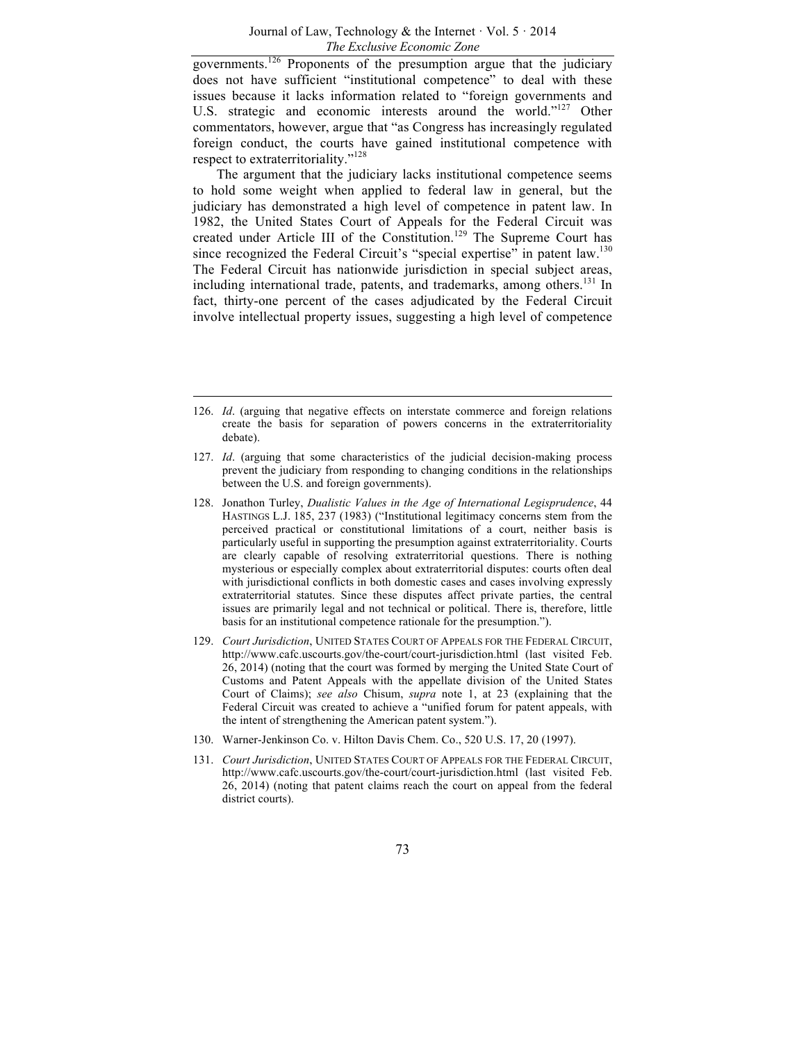governments.<sup>126</sup> Proponents of the presumption argue that the judiciary does not have sufficient "institutional competence" to deal with these issues because it lacks information related to "foreign governments and U.S. strategic and economic interests around the world."<sup>127</sup> Other commentators, however, argue that "as Congress has increasingly regulated foreign conduct, the courts have gained institutional competence with respect to extraterritoriality."<sup>128</sup>

The argument that the judiciary lacks institutional competence seems to hold some weight when applied to federal law in general, but the judiciary has demonstrated a high level of competence in patent law. In 1982, the United States Court of Appeals for the Federal Circuit was created under Article III of the Constitution.<sup>129</sup> The Supreme Court has since recognized the Federal Circuit's "special expertise" in patent law.<sup>130</sup> The Federal Circuit has nationwide jurisdiction in special subject areas, including international trade, patents, and trademarks, among others.<sup>131</sup> In fact, thirty-one percent of the cases adjudicated by the Federal Circuit involve intellectual property issues, suggesting a high level of competence

- 127. *Id*. (arguing that some characteristics of the judicial decision-making process prevent the judiciary from responding to changing conditions in the relationships between the U.S. and foreign governments).
- 128. Jonathon Turley, *Dualistic Values in the Age of International Legisprudence*, 44 HASTINGS L.J. 185, 237 (1983) ("Institutional legitimacy concerns stem from the perceived practical or constitutional limitations of a court, neither basis is particularly useful in supporting the presumption against extraterritoriality. Courts are clearly capable of resolving extraterritorial questions. There is nothing mysterious or especially complex about extraterritorial disputes: courts often deal with jurisdictional conflicts in both domestic cases and cases involving expressly extraterritorial statutes. Since these disputes affect private parties, the central issues are primarily legal and not technical or political. There is, therefore, little basis for an institutional competence rationale for the presumption.").
- 129. *Court Jurisdiction*, UNITED STATES COURT OF APPEALS FOR THE FEDERAL CIRCUIT, http://www.cafc.uscourts.gov/the-court/court-jurisdiction.html (last visited Feb. 26, 2014) (noting that the court was formed by merging the United State Court of Customs and Patent Appeals with the appellate division of the United States Court of Claims); *see also* Chisum, *supra* note 1, at 23 (explaining that the Federal Circuit was created to achieve a "unified forum for patent appeals, with the intent of strengthening the American patent system.").
- 130. Warner-Jenkinson Co. v. Hilton Davis Chem. Co., 520 U.S. 17, 20 (1997).
- 131. *Court Jurisdiction*, UNITED STATES COURT OF APPEALS FOR THE FEDERAL CIRCUIT, http://www.cafc.uscourts.gov/the-court/court-jurisdiction.html (last visited Feb. 26, 2014) (noting that patent claims reach the court on appeal from the federal district courts).

<sup>126.</sup> *Id*. (arguing that negative effects on interstate commerce and foreign relations create the basis for separation of powers concerns in the extraterritoriality debate).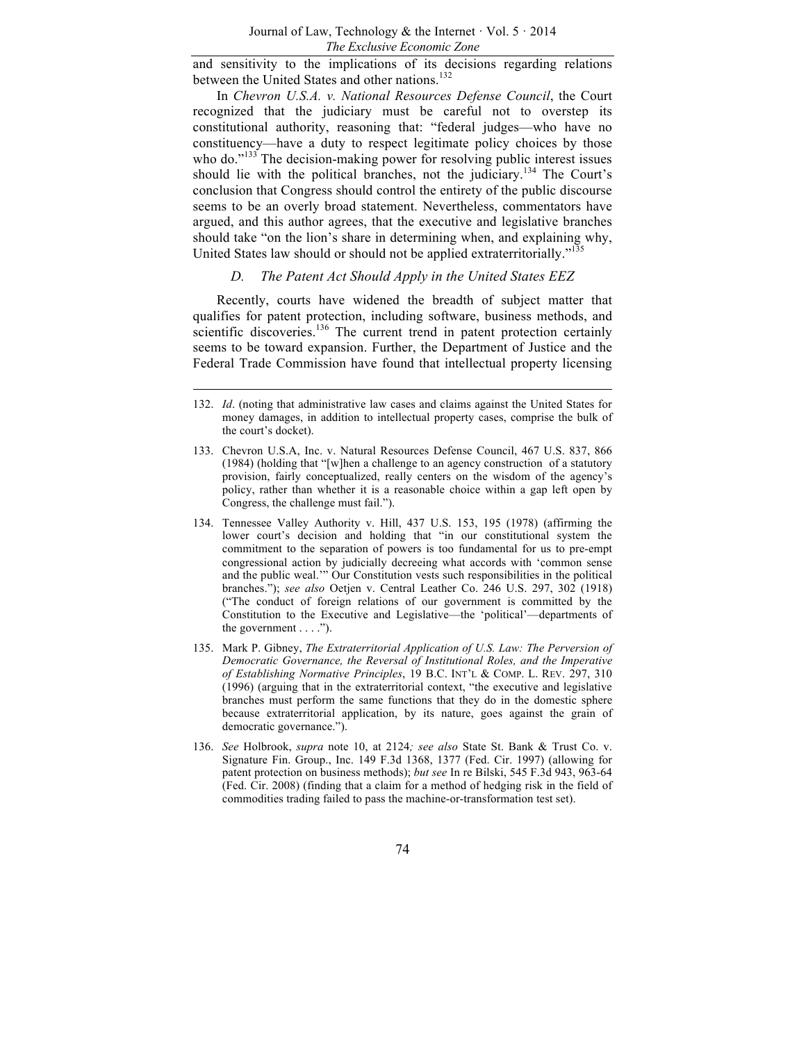and sensitivity to the implications of its decisions regarding relations between the United States and other nations.<sup>132</sup>

In *Chevron U.S.A. v. National Resources Defense Council*, the Court recognized that the judiciary must be careful not to overstep its constitutional authority, reasoning that: "federal judges—who have no constituency—have a duty to respect legitimate policy choices by those who do. $133$  The decision-making power for resolving public interest issues should lie with the political branches, not the judiciary.<sup>134</sup> The Court's conclusion that Congress should control the entirety of the public discourse seems to be an overly broad statement. Nevertheless, commentators have argued, and this author agrees, that the executive and legislative branches should take "on the lion's share in determining when, and explaining why, United States law should or should not be applied extraterritorially."<sup>135</sup>

## *D. The Patent Act Should Apply in the United States EEZ*

Recently, courts have widened the breadth of subject matter that qualifies for patent protection, including software, business methods, and scientific discoveries.<sup>136</sup> The current trend in patent protection certainly seems to be toward expansion. Further, the Department of Justice and the Federal Trade Commission have found that intellectual property licensing

- 133. Chevron U.S.A, Inc. v. Natural Resources Defense Council, 467 U.S. 837, 866 (1984) (holding that "[w]hen a challenge to an agency construction of a statutory provision, fairly conceptualized, really centers on the wisdom of the agency's policy, rather than whether it is a reasonable choice within a gap left open by Congress, the challenge must fail.").
- 134. Tennessee Valley Authority v. Hill, 437 U.S. 153, 195 (1978) (affirming the lower court's decision and holding that "in our constitutional system the commitment to the separation of powers is too fundamental for us to pre-empt congressional action by judicially decreeing what accords with 'common sense and the public weal.'" Our Constitution vests such responsibilities in the political branches."); *see also* Oetjen v. Central Leather Co. 246 U.S. 297, 302 (1918) ("The conduct of foreign relations of our government is committed by the Constitution to the Executive and Legislative—the 'political'—departments of the government  $\dots$ .").
- 135. Mark P. Gibney, *The Extraterritorial Application of U.S. Law: The Perversion of Democratic Governance, the Reversal of Institutional Roles, and the Imperative of Establishing Normative Principles*, 19 B.C. INT'L & COMP. L. REV. 297, 310 (1996) (arguing that in the extraterritorial context, "the executive and legislative branches must perform the same functions that they do in the domestic sphere because extraterritorial application, by its nature, goes against the grain of democratic governance.").
- 136. *See* Holbrook, *supra* note 10, at 2124*; see also* State St. Bank & Trust Co. v. Signature Fin. Group., Inc. 149 F.3d 1368, 1377 (Fed. Cir. 1997) (allowing for patent protection on business methods); *but see* In re Bilski, 545 F.3d 943, 963-64 (Fed. Cir. 2008) (finding that a claim for a method of hedging risk in the field of commodities trading failed to pass the machine-or-transformation test set).

<sup>132.</sup> *Id*. (noting that administrative law cases and claims against the United States for money damages, in addition to intellectual property cases, comprise the bulk of the court's docket).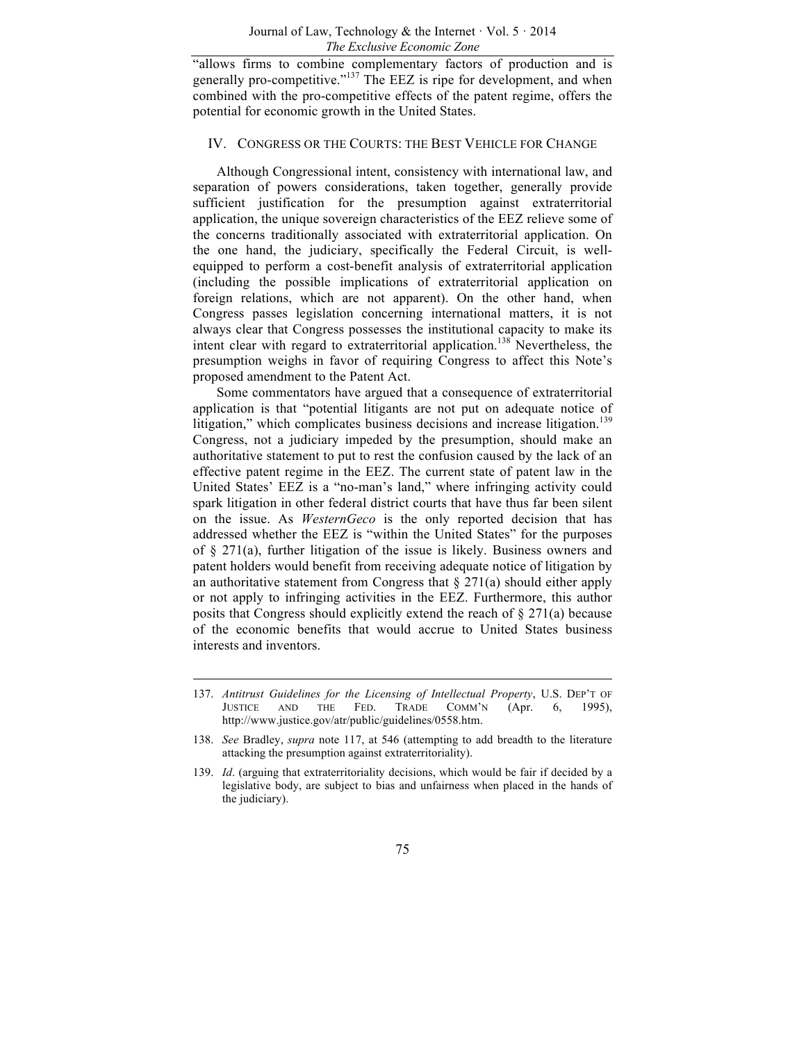"allows firms to combine complementary factors of production and is generally pro-competitive."<sup>137</sup> The EEZ is ripe for development, and when combined with the pro-competitive effects of the patent regime, offers the potential for economic growth in the United States.

#### IV. CONGRESS OR THE COURTS: THE BEST VEHICLE FOR CHANGE

Although Congressional intent, consistency with international law, and separation of powers considerations, taken together, generally provide sufficient justification for the presumption against extraterritorial application, the unique sovereign characteristics of the EEZ relieve some of the concerns traditionally associated with extraterritorial application. On the one hand, the judiciary, specifically the Federal Circuit, is wellequipped to perform a cost-benefit analysis of extraterritorial application (including the possible implications of extraterritorial application on foreign relations, which are not apparent). On the other hand, when Congress passes legislation concerning international matters, it is not always clear that Congress possesses the institutional capacity to make its intent clear with regard to extraterritorial application.<sup>138</sup> Nevertheless, the presumption weighs in favor of requiring Congress to affect this Note's proposed amendment to the Patent Act.

Some commentators have argued that a consequence of extraterritorial application is that "potential litigants are not put on adequate notice of litigation," which complicates business decisions and increase litigation.<sup>139</sup> Congress, not a judiciary impeded by the presumption, should make an authoritative statement to put to rest the confusion caused by the lack of an effective patent regime in the EEZ. The current state of patent law in the United States' EEZ is a "no-man's land," where infringing activity could spark litigation in other federal district courts that have thus far been silent on the issue. As *WesternGeco* is the only reported decision that has addressed whether the EEZ is "within the United States" for the purposes of § 271(a), further litigation of the issue is likely. Business owners and patent holders would benefit from receiving adequate notice of litigation by an authoritative statement from Congress that  $\S 271(a)$  should either apply or not apply to infringing activities in the EEZ. Furthermore, this author posits that Congress should explicitly extend the reach of § 271(a) because of the economic benefits that would accrue to United States business interests and inventors.

<sup>137.</sup> *Antitrust Guidelines for the Licensing of Intellectual Property*, U.S. DEP'T OF JUSTICE AND THE FED. TRADE COMM'N (Apr. 6, 1995), http://www.justice.gov/atr/public/guidelines/0558.htm.

<sup>138.</sup> *See* Bradley, *supra* note 117, at 546 (attempting to add breadth to the literature attacking the presumption against extraterritoriality).

<sup>139.</sup> *Id*. (arguing that extraterritoriality decisions, which would be fair if decided by a legislative body, are subject to bias and unfairness when placed in the hands of the judiciary).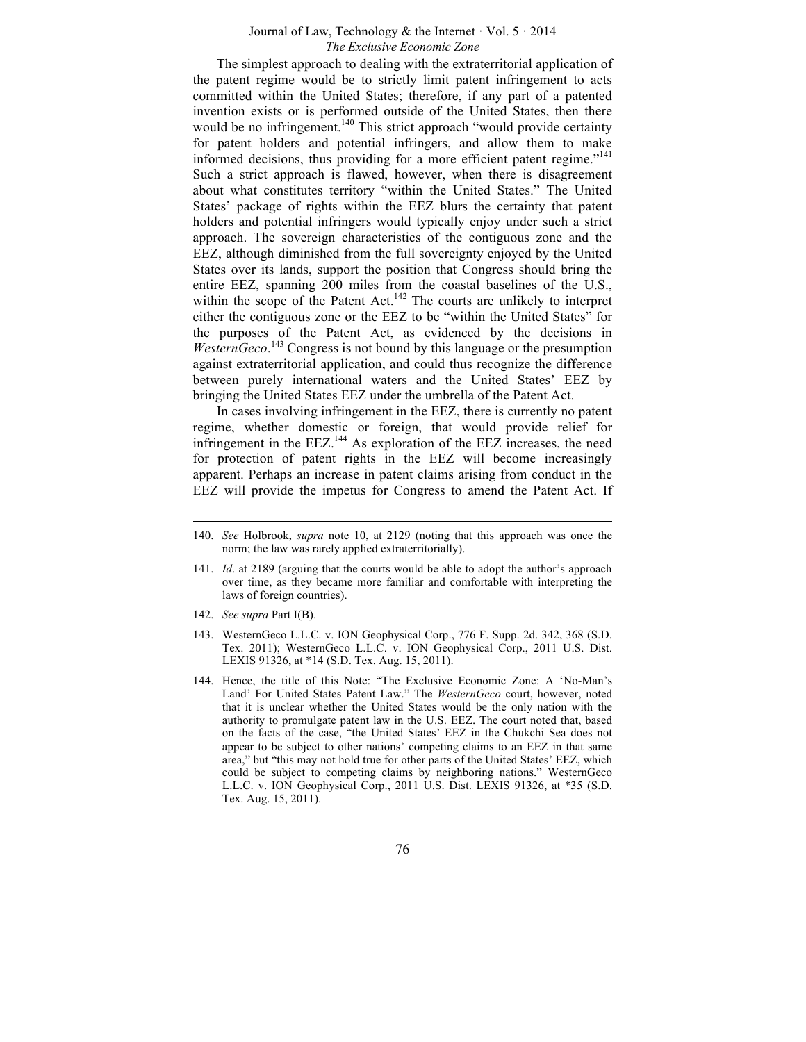The simplest approach to dealing with the extraterritorial application of the patent regime would be to strictly limit patent infringement to acts committed within the United States; therefore, if any part of a patented invention exists or is performed outside of the United States, then there would be no infringement.<sup>140</sup> This strict approach "would provide certainty for patent holders and potential infringers, and allow them to make informed decisions, thus providing for a more efficient patent regime."<sup>141</sup> Such a strict approach is flawed, however, when there is disagreement about what constitutes territory "within the United States." The United States' package of rights within the EEZ blurs the certainty that patent holders and potential infringers would typically enjoy under such a strict approach. The sovereign characteristics of the contiguous zone and the EEZ, although diminished from the full sovereignty enjoyed by the United States over its lands, support the position that Congress should bring the entire EEZ, spanning 200 miles from the coastal baselines of the U.S., within the scope of the Patent Act.<sup>142</sup> The courts are unlikely to interpret either the contiguous zone or the EEZ to be "within the United States" for the purposes of the Patent Act, as evidenced by the decisions in WesternGeco.<sup>143</sup> Congress is not bound by this language or the presumption against extraterritorial application, and could thus recognize the difference between purely international waters and the United States' EEZ by bringing the United States EEZ under the umbrella of the Patent Act.

In cases involving infringement in the EEZ, there is currently no patent regime, whether domestic or foreign, that would provide relief for infringement in the  $EEZ$ <sup>144</sup> As exploration of the  $EEZ$  increases, the need for protection of patent rights in the EEZ will become increasingly apparent. Perhaps an increase in patent claims arising from conduct in the EEZ will provide the impetus for Congress to amend the Patent Act. If

- 141. *Id*. at 2189 (arguing that the courts would be able to adopt the author's approach over time, as they became more familiar and comfortable with interpreting the laws of foreign countries).
- 142. *See supra* Part I(B).
- 143. WesternGeco L.L.C. v. ION Geophysical Corp., 776 F. Supp. 2d. 342, 368 (S.D. Tex. 2011); WesternGeco L.L.C. v. ION Geophysical Corp., 2011 U.S. Dist. LEXIS 91326, at \*14 (S.D. Tex. Aug. 15, 2011).
- 144. Hence, the title of this Note: "The Exclusive Economic Zone: A 'No-Man's Land' For United States Patent Law." The *WesternGeco* court, however, noted that it is unclear whether the United States would be the only nation with the authority to promulgate patent law in the U.S. EEZ. The court noted that, based on the facts of the case, "the United States' EEZ in the Chukchi Sea does not appear to be subject to other nations' competing claims to an EEZ in that same area," but "this may not hold true for other parts of the United States' EEZ, which could be subject to competing claims by neighboring nations." WesternGeco L.L.C. v. ION Geophysical Corp., 2011 U.S. Dist. LEXIS 91326, at \*35 (S.D. Tex. Aug. 15, 2011).

<sup>140.</sup> *See* Holbrook, *supra* note 10, at 2129 (noting that this approach was once the norm; the law was rarely applied extraterritorially).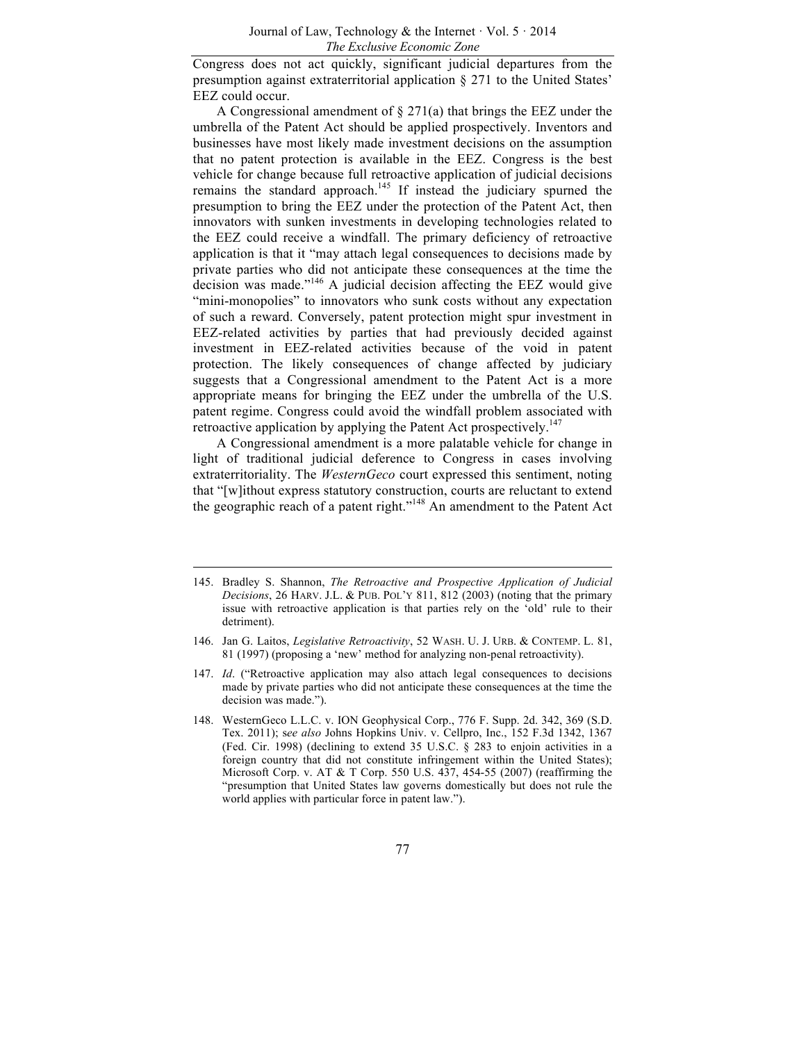Congress does not act quickly, significant judicial departures from the presumption against extraterritorial application § 271 to the United States' EEZ could occur.

A Congressional amendment of § 271(a) that brings the EEZ under the umbrella of the Patent Act should be applied prospectively. Inventors and businesses have most likely made investment decisions on the assumption that no patent protection is available in the EEZ. Congress is the best vehicle for change because full retroactive application of judicial decisions remains the standard approach.<sup>145</sup> If instead the judiciary spurned the presumption to bring the EEZ under the protection of the Patent Act, then innovators with sunken investments in developing technologies related to the EEZ could receive a windfall. The primary deficiency of retroactive application is that it "may attach legal consequences to decisions made by private parties who did not anticipate these consequences at the time the decision was made."<sup>146</sup> A judicial decision affecting the EEZ would give "mini-monopolies" to innovators who sunk costs without any expectation of such a reward. Conversely, patent protection might spur investment in EEZ-related activities by parties that had previously decided against investment in EEZ-related activities because of the void in patent protection. The likely consequences of change affected by judiciary suggests that a Congressional amendment to the Patent Act is a more appropriate means for bringing the EEZ under the umbrella of the U.S. patent regime. Congress could avoid the windfall problem associated with retroactive application by applying the Patent Act prospectively.<sup>147</sup>

A Congressional amendment is a more palatable vehicle for change in light of traditional judicial deference to Congress in cases involving extraterritoriality. The *WesternGeco* court expressed this sentiment, noting that "[w]ithout express statutory construction, courts are reluctant to extend the geographic reach of a patent right."<sup>148</sup> An amendment to the Patent Act

<sup>145.</sup> Bradley S. Shannon, *The Retroactive and Prospective Application of Judicial Decisions*, 26 HARV. J.L. & PUB. POL'Y 811, 812 (2003) (noting that the primary issue with retroactive application is that parties rely on the 'old' rule to their detriment).

<sup>146.</sup> Jan G. Laitos, *Legislative Retroactivity*, 52 WASH. U. J. URB. & CONTEMP. L. 81, 81 (1997) (proposing a 'new' method for analyzing non-penal retroactivity).

<sup>147.</sup> *Id*. ("Retroactive application may also attach legal consequences to decisions made by private parties who did not anticipate these consequences at the time the decision was made.").

<sup>148.</sup> WesternGeco L.L.C. v. ION Geophysical Corp., 776 F. Supp. 2d. 342, 369 (S.D. Tex. 2011); s*ee also* Johns Hopkins Univ. v. Cellpro, Inc., 152 F.3d 1342, 1367 (Fed. Cir. 1998) (declining to extend 35 U.S.C. § 283 to enjoin activities in a foreign country that did not constitute infringement within the United States); Microsoft Corp. v. AT & T Corp. 550 U.S. 437, 454-55 (2007) (reaffirming the "presumption that United States law governs domestically but does not rule the world applies with particular force in patent law.").